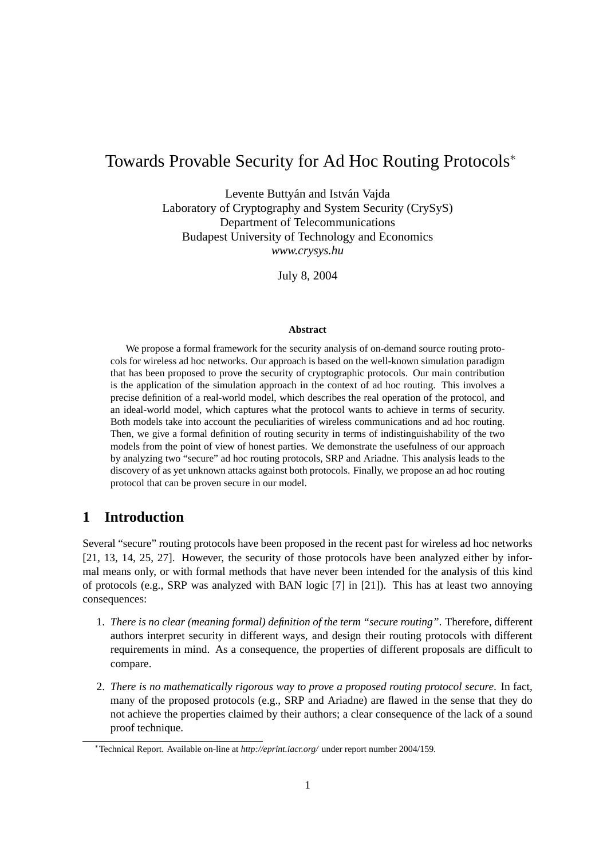# Towards Provable Security for Ad Hoc Routing Protocols<sup>∗</sup>

Levente Buttyán and István Vajda Laboratory of Cryptography and System Security (CrySyS) Department of Telecommunications Budapest University of Technology and Economics *www.crysys.hu*

July 8, 2004

#### **Abstract**

We propose a formal framework for the security analysis of on-demand source routing protocols for wireless ad hoc networks. Our approach is based on the well-known simulation paradigm that has been proposed to prove the security of cryptographic protocols. Our main contribution is the application of the simulation approach in the context of ad hoc routing. This involves a precise definition of a real-world model, which describes the real operation of the protocol, and an ideal-world model, which captures what the protocol wants to achieve in terms of security. Both models take into account the peculiarities of wireless communications and ad hoc routing. Then, we give a formal definition of routing security in terms of indistinguishability of the two models from the point of view of honest parties. We demonstrate the usefulness of our approach by analyzing two "secure" ad hoc routing protocols, SRP and Ariadne. This analysis leads to the discovery of as yet unknown attacks against both protocols. Finally, we propose an ad hoc routing protocol that can be proven secure in our model.

# **1 Introduction**

Several "secure" routing protocols have been proposed in the recent past for wireless ad hoc networks [21, 13, 14, 25, 27]. However, the security of those protocols have been analyzed either by informal means only, or with formal methods that have never been intended for the analysis of this kind of protocols (e.g., SRP was analyzed with BAN logic [7] in [21]). This has at least two annoying consequences:

- 1. *There is no clear (meaning formal) definition of the term "secure routing"*. Therefore, different authors interpret security in different ways, and design their routing protocols with different requirements in mind. As a consequence, the properties of different proposals are difficult to compare.
- 2. *There is no mathematically rigorous way to prove a proposed routing protocol secure*. In fact, many of the proposed protocols (e.g., SRP and Ariadne) are flawed in the sense that they do not achieve the properties claimed by their authors; a clear consequence of the lack of a sound proof technique.

<sup>∗</sup>Technical Report. Available on-line at *http://eprint.iacr.org/* under report number 2004/159.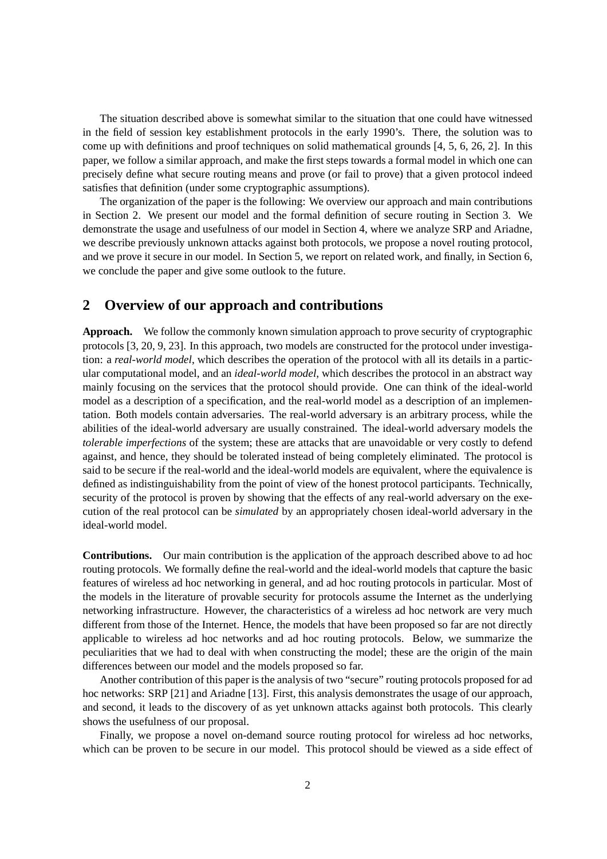The situation described above is somewhat similar to the situation that one could have witnessed in the field of session key establishment protocols in the early 1990's. There, the solution was to come up with definitions and proof techniques on solid mathematical grounds [4, 5, 6, 26, 2]. In this paper, we follow a similar approach, and make the first steps towards a formal model in which one can precisely define what secure routing means and prove (or fail to prove) that a given protocol indeed satisfies that definition (under some cryptographic assumptions).

The organization of the paper is the following: We overview our approach and main contributions in Section 2. We present our model and the formal definition of secure routing in Section 3. We demonstrate the usage and usefulness of our model in Section 4, where we analyze SRP and Ariadne, we describe previously unknown attacks against both protocols, we propose a novel routing protocol, and we prove it secure in our model. In Section 5, we report on related work, and finally, in Section 6, we conclude the paper and give some outlook to the future.

### **2 Overview of our approach and contributions**

**Approach.** We follow the commonly known simulation approach to prove security of cryptographic protocols [3, 20, 9, 23]. In this approach, two models are constructed for the protocol under investigation: a *real-world model*, which describes the operation of the protocol with all its details in a particular computational model, and an *ideal-world model*, which describes the protocol in an abstract way mainly focusing on the services that the protocol should provide. One can think of the ideal-world model as a description of a specification, and the real-world model as a description of an implementation. Both models contain adversaries. The real-world adversary is an arbitrary process, while the abilities of the ideal-world adversary are usually constrained. The ideal-world adversary models the *tolerable imperfections* of the system; these are attacks that are unavoidable or very costly to defend against, and hence, they should be tolerated instead of being completely eliminated. The protocol is said to be secure if the real-world and the ideal-world models are equivalent, where the equivalence is defined as indistinguishability from the point of view of the honest protocol participants. Technically, security of the protocol is proven by showing that the effects of any real-world adversary on the execution of the real protocol can be *simulated* by an appropriately chosen ideal-world adversary in the ideal-world model.

**Contributions.** Our main contribution is the application of the approach described above to ad hoc routing protocols. We formally define the real-world and the ideal-world models that capture the basic features of wireless ad hoc networking in general, and ad hoc routing protocols in particular. Most of the models in the literature of provable security for protocols assume the Internet as the underlying networking infrastructure. However, the characteristics of a wireless ad hoc network are very much different from those of the Internet. Hence, the models that have been proposed so far are not directly applicable to wireless ad hoc networks and ad hoc routing protocols. Below, we summarize the peculiarities that we had to deal with when constructing the model; these are the origin of the main differences between our model and the models proposed so far.

Another contribution of this paper is the analysis of two "secure" routing protocols proposed for ad hoc networks: SRP [21] and Ariadne [13]. First, this analysis demonstrates the usage of our approach, and second, it leads to the discovery of as yet unknown attacks against both protocols. This clearly shows the usefulness of our proposal.

Finally, we propose a novel on-demand source routing protocol for wireless ad hoc networks, which can be proven to be secure in our model. This protocol should be viewed as a side effect of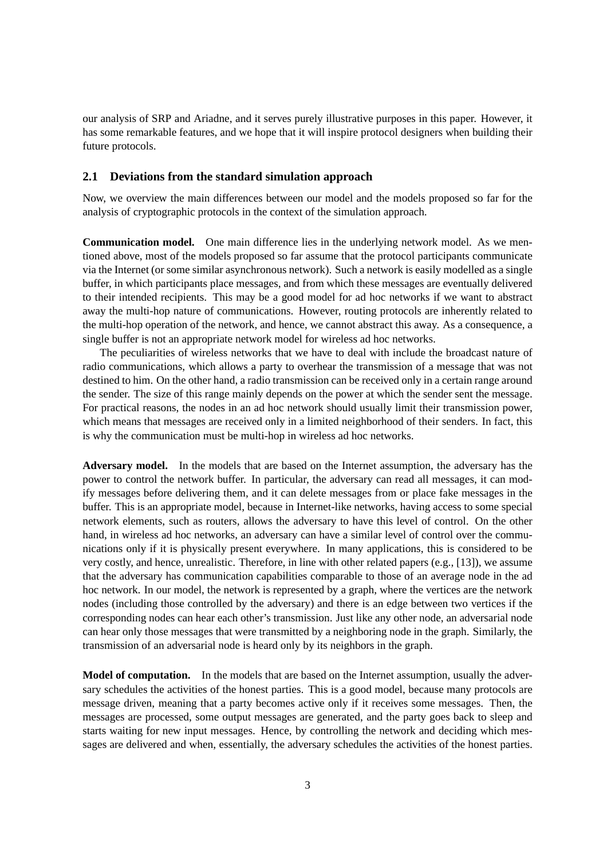our analysis of SRP and Ariadne, and it serves purely illustrative purposes in this paper. However, it has some remarkable features, and we hope that it will inspire protocol designers when building their future protocols.

#### **2.1 Deviations from the standard simulation approach**

Now, we overview the main differences between our model and the models proposed so far for the analysis of cryptographic protocols in the context of the simulation approach.

**Communication model.** One main difference lies in the underlying network model. As we mentioned above, most of the models proposed so far assume that the protocol participants communicate via the Internet (or some similar asynchronous network). Such a network is easily modelled as a single buffer, in which participants place messages, and from which these messages are eventually delivered to their intended recipients. This may be a good model for ad hoc networks if we want to abstract away the multi-hop nature of communications. However, routing protocols are inherently related to the multi-hop operation of the network, and hence, we cannot abstract this away. As a consequence, a single buffer is not an appropriate network model for wireless ad hoc networks.

The peculiarities of wireless networks that we have to deal with include the broadcast nature of radio communications, which allows a party to overhear the transmission of a message that was not destined to him. On the other hand, a radio transmission can be received only in a certain range around the sender. The size of this range mainly depends on the power at which the sender sent the message. For practical reasons, the nodes in an ad hoc network should usually limit their transmission power, which means that messages are received only in a limited neighborhood of their senders. In fact, this is why the communication must be multi-hop in wireless ad hoc networks.

**Adversary model.** In the models that are based on the Internet assumption, the adversary has the power to control the network buffer. In particular, the adversary can read all messages, it can modify messages before delivering them, and it can delete messages from or place fake messages in the buffer. This is an appropriate model, because in Internet-like networks, having access to some special network elements, such as routers, allows the adversary to have this level of control. On the other hand, in wireless ad hoc networks, an adversary can have a similar level of control over the communications only if it is physically present everywhere. In many applications, this is considered to be very costly, and hence, unrealistic. Therefore, in line with other related papers (e.g., [13]), we assume that the adversary has communication capabilities comparable to those of an average node in the ad hoc network. In our model, the network is represented by a graph, where the vertices are the network nodes (including those controlled by the adversary) and there is an edge between two vertices if the corresponding nodes can hear each other's transmission. Just like any other node, an adversarial node can hear only those messages that were transmitted by a neighboring node in the graph. Similarly, the transmission of an adversarial node is heard only by its neighbors in the graph.

**Model of computation.** In the models that are based on the Internet assumption, usually the adversary schedules the activities of the honest parties. This is a good model, because many protocols are message driven, meaning that a party becomes active only if it receives some messages. Then, the messages are processed, some output messages are generated, and the party goes back to sleep and starts waiting for new input messages. Hence, by controlling the network and deciding which messages are delivered and when, essentially, the adversary schedules the activities of the honest parties.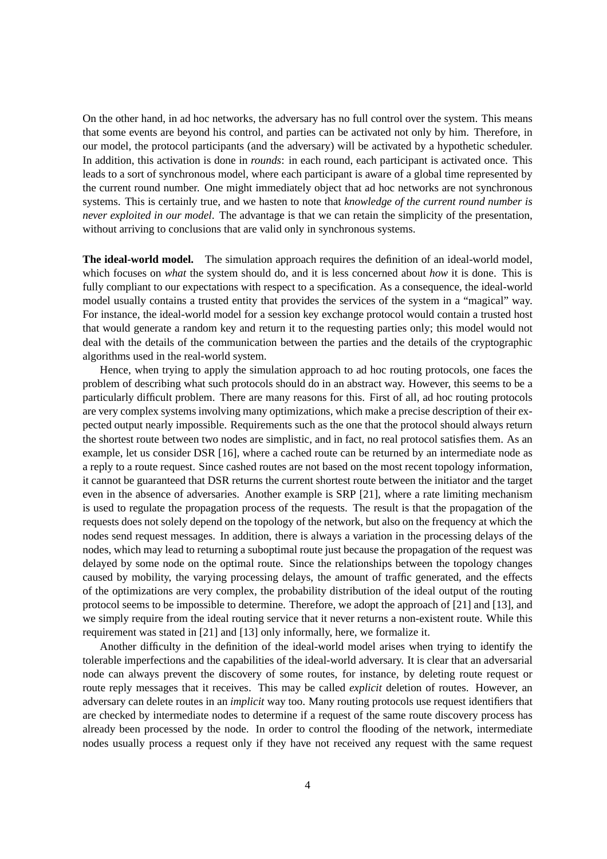On the other hand, in ad hoc networks, the adversary has no full control over the system. This means that some events are beyond his control, and parties can be activated not only by him. Therefore, in our model, the protocol participants (and the adversary) will be activated by a hypothetic scheduler. In addition, this activation is done in *rounds*: in each round, each participant is activated once. This leads to a sort of synchronous model, where each participant is aware of a global time represented by the current round number. One might immediately object that ad hoc networks are not synchronous systems. This is certainly true, and we hasten to note that *knowledge of the current round number is never exploited in our model*. The advantage is that we can retain the simplicity of the presentation, without arriving to conclusions that are valid only in synchronous systems.

**The ideal-world model.** The simulation approach requires the definition of an ideal-world model, which focuses on *what* the system should do, and it is less concerned about *how* it is done. This is fully compliant to our expectations with respect to a specification. As a consequence, the ideal-world model usually contains a trusted entity that provides the services of the system in a "magical" way. For instance, the ideal-world model for a session key exchange protocol would contain a trusted host that would generate a random key and return it to the requesting parties only; this model would not deal with the details of the communication between the parties and the details of the cryptographic algorithms used in the real-world system.

Hence, when trying to apply the simulation approach to ad hoc routing protocols, one faces the problem of describing what such protocols should do in an abstract way. However, this seems to be a particularly difficult problem. There are many reasons for this. First of all, ad hoc routing protocols are very complex systems involving many optimizations, which make a precise description of their expected output nearly impossible. Requirements such as the one that the protocol should always return the shortest route between two nodes are simplistic, and in fact, no real protocol satisfies them. As an example, let us consider DSR [16], where a cached route can be returned by an intermediate node as a reply to a route request. Since cashed routes are not based on the most recent topology information, it cannot be guaranteed that DSR returns the current shortest route between the initiator and the target even in the absence of adversaries. Another example is SRP [21], where a rate limiting mechanism is used to regulate the propagation process of the requests. The result is that the propagation of the requests does not solely depend on the topology of the network, but also on the frequency at which the nodes send request messages. In addition, there is always a variation in the processing delays of the nodes, which may lead to returning a suboptimal route just because the propagation of the request was delayed by some node on the optimal route. Since the relationships between the topology changes caused by mobility, the varying processing delays, the amount of traffic generated, and the effects of the optimizations are very complex, the probability distribution of the ideal output of the routing protocol seems to be impossible to determine. Therefore, we adopt the approach of [21] and [13], and we simply require from the ideal routing service that it never returns a non-existent route. While this requirement was stated in [21] and [13] only informally, here, we formalize it.

Another difficulty in the definition of the ideal-world model arises when trying to identify the tolerable imperfections and the capabilities of the ideal-world adversary. It is clear that an adversarial node can always prevent the discovery of some routes, for instance, by deleting route request or route reply messages that it receives. This may be called *explicit* deletion of routes. However, an adversary can delete routes in an *implicit* way too. Many routing protocols use request identifiers that are checked by intermediate nodes to determine if a request of the same route discovery process has already been processed by the node. In order to control the flooding of the network, intermediate nodes usually process a request only if they have not received any request with the same request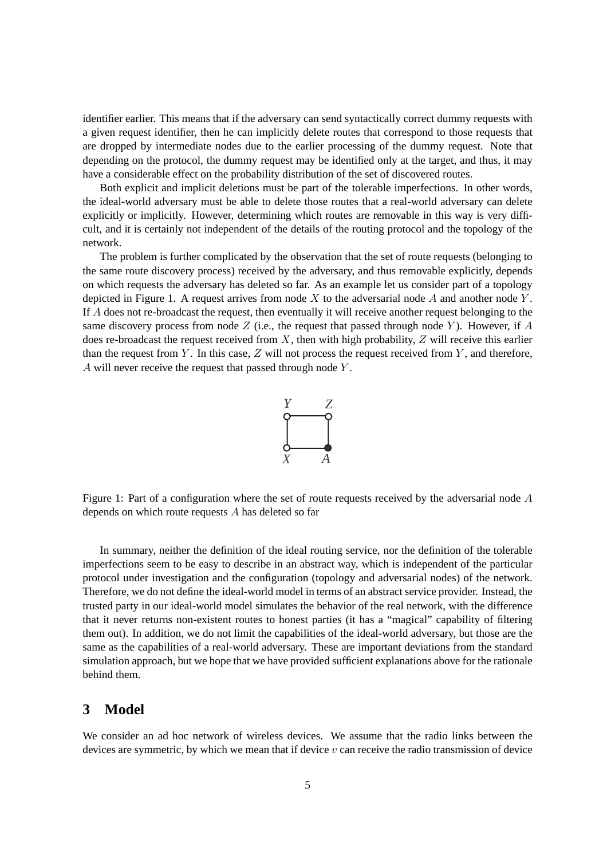identifier earlier. This means that if the adversary can send syntactically correct dummy requests with a given request identifier, then he can implicitly delete routes that correspond to those requests that are dropped by intermediate nodes due to the earlier processing of the dummy request. Note that depending on the protocol, the dummy request may be identified only at the target, and thus, it may have a considerable effect on the probability distribution of the set of discovered routes.

Both explicit and implicit deletions must be part of the tolerable imperfections. In other words, the ideal-world adversary must be able to delete those routes that a real-world adversary can delete explicitly or implicitly. However, determining which routes are removable in this way is very difficult, and it is certainly not independent of the details of the routing protocol and the topology of the network.

The problem is further complicated by the observation that the set of route requests (belonging to the same route discovery process) received by the adversary, and thus removable explicitly, depends on which requests the adversary has deleted so far. As an example let us consider part of a topology depicted in Figure 1. A request arrives from node X to the adversarial node A and another node Y. If A does not re-broadcast the request, then eventually it will receive another request belonging to the same discovery process from node  $Z$  (i.e., the request that passed through node Y). However, if  $A$ does re-broadcast the request received from  $X$ , then with high probability,  $Z$  will receive this earlier than the request from Y. In this case,  $Z$  will not process the request received from Y, and therefore, A will never receive the request that passed through node Y .



Figure 1: Part of a configuration where the set of route requests received by the adversarial node  $\ddot{A}$ depends on which route requests A has deleted so far

In summary, neither the definition of the ideal routing service, nor the definition of the tolerable imperfections seem to be easy to describe in an abstract way, which is independent of the particular protocol under investigation and the configuration (topology and adversarial nodes) of the network. Therefore, we do not define the ideal-world model in terms of an abstract service provider. Instead, the trusted party in our ideal-world model simulates the behavior of the real network, with the difference that it never returns non-existent routes to honest parties (it has a "magical" capability of filtering them out). In addition, we do not limit the capabilities of the ideal-world adversary, but those are the same as the capabilities of a real-world adversary. These are important deviations from the standard simulation approach, but we hope that we have provided sufficient explanations above for the rationale behind them.

### **3 Model**

We consider an ad hoc network of wireless devices. We assume that the radio links between the devices are symmetric, by which we mean that if device  $v$  can receive the radio transmission of device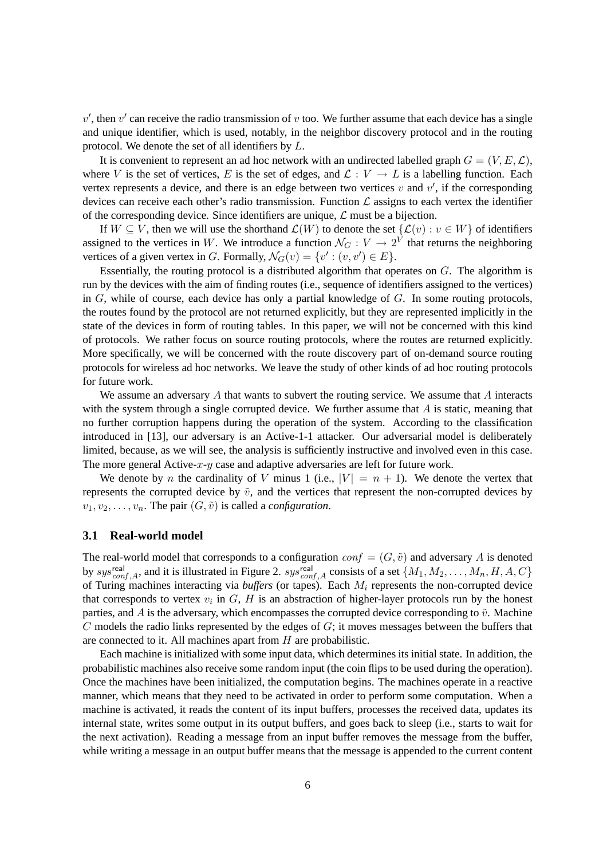$v'$ , then  $v'$  can receive the radio transmission of v too. We further assume that each device has a single and unique identifier, which is used, notably, in the neighbor discovery protocol and in the routing protocol. We denote the set of all identifiers by L.

It is convenient to represent an ad hoc network with an undirected labelled graph  $G = (V, E, \mathcal{L})$ , where V is the set of vertices, E is the set of edges, and  $\mathcal{L}: V \to L$  is a labelling function. Each vertex represents a device, and there is an edge between two vertices  $v$  and  $v'$ , if the corresponding devices can receive each other's radio transmission. Function  $\mathcal L$  assigns to each vertex the identifier of the corresponding device. Since identifiers are unique,  $\mathcal L$  must be a bijection.

If  $W \subseteq V$ , then we will use the shorthand  $\mathcal{L}(W)$  to denote the set  $\{\mathcal{L}(v) : v \in W\}$  of identifiers assigned to the vertices in W. We introduce a function  $\mathcal{N}_G : V \to 2^{\tilde{V}}$  that returns the neighboring vertices of a given vertex in G. Formally,  $\mathcal{N}_G(v) = \{v' : (v, v') \in E\}.$ 

Essentially, the routing protocol is a distributed algorithm that operates on  $G$ . The algorithm is run by the devices with the aim of finding routes (i.e., sequence of identifiers assigned to the vertices) in  $G$ , while of course, each device has only a partial knowledge of  $G$ . In some routing protocols, the routes found by the protocol are not returned explicitly, but they are represented implicitly in the state of the devices in form of routing tables. In this paper, we will not be concerned with this kind of protocols. We rather focus on source routing protocols, where the routes are returned explicitly. More specifically, we will be concerned with the route discovery part of on-demand source routing protocols for wireless ad hoc networks. We leave the study of other kinds of ad hoc routing protocols for future work.

We assume an adversary  $A$  that wants to subvert the routing service. We assume that  $A$  interacts with the system through a single corrupted device. We further assume that  $\Lambda$  is static, meaning that no further corruption happens during the operation of the system. According to the classification introduced in [13], our adversary is an Active-1-1 attacker. Our adversarial model is deliberately limited, because, as we will see, the analysis is sufficiently instructive and involved even in this case. The more general Active- $x-y$  case and adaptive adversaries are left for future work.

We denote by n the cardinality of V minus 1 (i.e.,  $|V| = n + 1$ ). We denote the vertex that represents the corrupted device by  $\tilde{v}$ , and the vertices that represent the non-corrupted devices by  $v_1, v_2, \ldots, v_n$ . The pair  $(G, \tilde{v})$  is called a *configuration*.

#### **3.1 Real-world model**

The real-world model that corresponds to a configuration  $conf = (G, \tilde{v})$  and adversary A is denoted by  $sys_{conf, A}^{real}$ , and it is illustrated in Figure 2.  $sys_{conf, A}^{real}$  consists of a set  $\{M_1, M_2, \ldots, M_n, H, A, C\}$ of Turing machines interacting via *buffers* (or tapes). Each  $M_i$  represents the non-corrupted device that corresponds to vertex  $v_i$  in G, H is an abstraction of higher-layer protocols run by the honest parties, and A is the adversary, which encompasses the corrupted device corresponding to  $\tilde{v}$ . Machine C models the radio links represented by the edges of  $G$ ; it moves messages between the buffers that are connected to it. All machines apart from  $H$  are probabilistic.

Each machine is initialized with some input data, which determines its initial state. In addition, the probabilistic machines also receive some random input (the coin flips to be used during the operation). Once the machines have been initialized, the computation begins. The machines operate in a reactive manner, which means that they need to be activated in order to perform some computation. When a machine is activated, it reads the content of its input buffers, processes the received data, updates its internal state, writes some output in its output buffers, and goes back to sleep (i.e., starts to wait for the next activation). Reading a message from an input buffer removes the message from the buffer, while writing a message in an output buffer means that the message is appended to the current content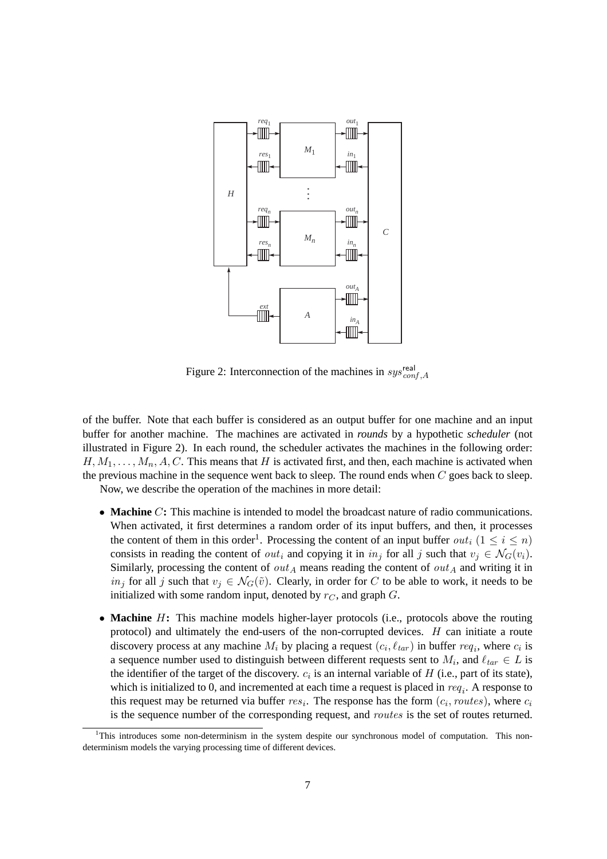

Figure 2: Interconnection of the machines in  $sys_{conf,A}^{real}$ 

of the buffer. Note that each buffer is considered as an output buffer for one machine and an input buffer for another machine. The machines are activated in *rounds* by a hypothetic *scheduler* (not illustrated in Figure 2). In each round, the scheduler activates the machines in the following order:  $H, M_1, \ldots, M_n, A, C$ . This means that H is activated first, and then, each machine is activated when the previous machine in the sequence went back to sleep. The round ends when  $C$  goes back to sleep.

Now, we describe the operation of the machines in more detail:

- **Machine** C**:** This machine is intended to model the broadcast nature of radio communications. When activated, it first determines a random order of its input buffers, and then, it processes the content of them in this order<sup>1</sup>. Processing the content of an input buffer *out*<sub>i</sub> ( $1 \le i \le n$ ) consists in reading the content of *out<sub>i</sub>* and copying it in *in<sub>i</sub>* for all j such that  $v_i \in \mathcal{N}_G(v_i)$ . Similarly, processing the content of  $out_A$  means reading the content of  $out_A$  and writing it in *in<sub>j</sub>* for all *j* such that  $v_j \in \mathcal{N}_G(\tilde{v})$ . Clearly, in order for C to be able to work, it needs to be initialized with some random input, denoted by  $r_C$ , and graph  $G$ .
- **Machine** H: This machine models higher-layer protocols (i.e., protocols above the routing protocol) and ultimately the end-users of the non-corrupted devices. H can initiate a route discovery process at any machine  $M_i$  by placing a request  $(c_i, \ell_{tar})$  in buffer  $req_i$ , where  $c_i$  is a sequence number used to distinguish between different requests sent to  $M_i$ , and  $\ell_{tar} \in L$  is the identifier of the target of the discovery.  $c_i$  is an internal variable of H (i.e., part of its state), which is initialized to 0, and incremented at each time a request is placed in  $req_i$ . A response to this request may be returned via buffer  $res_i$ . The response has the form  $(c_i, routes)$ , where  $c_i$ is the sequence number of the corresponding request, and *routes* is the set of routes returned.

<sup>&</sup>lt;sup>1</sup>This introduces some non-determinism in the system despite our synchronous model of computation. This nondeterminism models the varying processing time of different devices.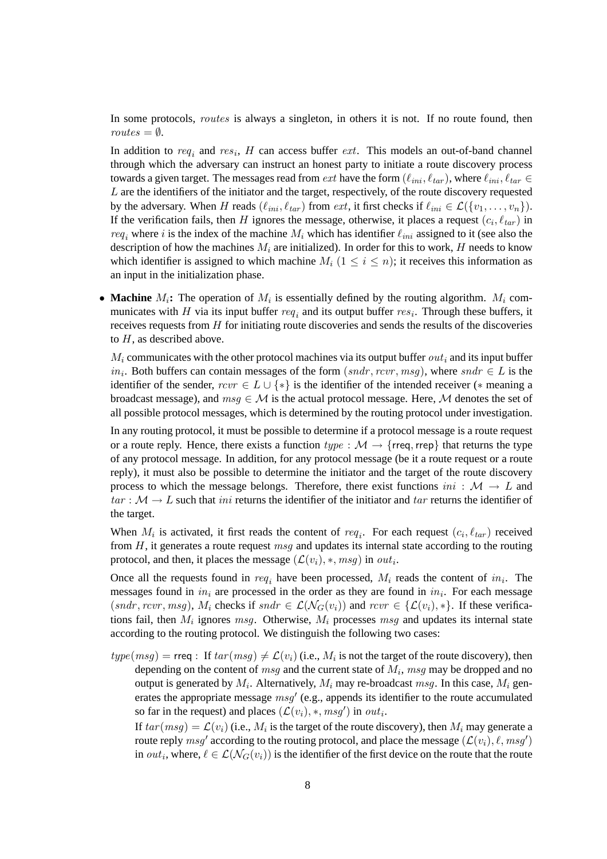In some protocols, *routes* is always a singleton, in others it is not. If no route found, then *routes*  $= \emptyset$ .

In addition to *req*<sup>i</sup> and *res*i, H can access buffer *ext*. This models an out-of-band channel through which the adversary can instruct an honest party to initiate a route discovery process towards a given target. The messages read from *ext* have the form  $(\ell_{ini}, \ell_{tar})$ , where  $\ell_{ini}, \ell_{tar} \in$  $L$  are the identifiers of the initiator and the target, respectively, of the route discovery requested by the adversary. When H reads  $(\ell_{ini}, \ell_{tar})$  from *ext*, it first checks if  $\ell_{ini} \in \mathcal{L}(\{v_1, \ldots, v_n\})$ . If the verification fails, then H ignores the message, otherwise, it places a request  $(c_i, \ell_{tar})$  in *req<sub>i</sub>* where *i* is the index of the machine  $M_i$  which has identifier  $\ell_{ini}$  assigned to it (see also the description of how the machines  $M_i$  are initialized). In order for this to work, H needs to know which identifier is assigned to which machine  $M_i$  ( $1 \leq i \leq n$ ); it receives this information as an input in the initialization phase.

• **Machine**  $M_i$ : The operation of  $M_i$  is essentially defined by the routing algorithm.  $M_i$  communicates with H via its input buffer  $req<sub>i</sub>$  and its output buffer  $res<sub>i</sub>$ . Through these buffers, it receives requests from  $H$  for initiating route discoveries and sends the results of the discoveries to  $H$ , as described above.

 $M_i$  communicates with the other protocol machines via its output buffer *out*<sub>i</sub> and its input buffer *in<sub>i</sub>*. Both buffers can contain messages of the form (*sndr*, *rcvr*, *msg*), where *sndr*  $\in L$  is the identifier of the sender,  $rcvr \in L \cup \{*\}$  is the identifier of the intended receiver (\* meaning a broadcast message), and  $msq \in M$  is the actual protocol message. Here, M denotes the set of all possible protocol messages, which is determined by the routing protocol under investigation.

In any routing protocol, it must be possible to determine if a protocol message is a route request or a route reply. Hence, there exists a function  $type : \mathcal{M} \to \{r \in \mathcal{M}\}$  that returns the type of any protocol message. In addition, for any protocol message (be it a route request or a route reply), it must also be possible to determine the initiator and the target of the route discovery process to which the message belongs. Therefore, there exist functions *ini* :  $\mathcal{M} \to L$  and  $tar: \mathcal{M} \rightarrow L$  such that *ini* returns the identifier of the initiator and *tar* returns the identifier of the target.

When  $M_i$  is activated, it first reads the content of *req<sub>i</sub>*. For each request  $(c_i, \ell_{tar})$  received from H, it generates a route request *msg* and updates its internal state according to the routing protocol, and then, it places the message  $(\mathcal{L}(v_i), *, msg)$  in  $out_i$ .

Once all the requests found in  $req_i$  have been processed,  $M_i$  reads the content of  $in_i$ . The messages found in  $in_i$  are processed in the order as they are found in  $in_i$ . For each message  $(sndr, rcvr, msg), M_i$  checks if  $sndr \in \mathcal{L}(\mathcal{N}_G(v_i))$  and  $rcvr \in \{\mathcal{L}(v_i), *\}.$  If these verifications fail, then  $M_i$  ignores  $msg$ . Otherwise,  $M_i$  processes  $msg$  and updates its internal state according to the routing protocol. We distinguish the following two cases:

 $type(msg) = rreq$ : If  $tar(msg) \neq \mathcal{L}(v_i)$  (i.e.,  $M_i$  is not the target of the route discovery), then depending on the content of  $msg$  and the current state of  $M_i$ ,  $msg$  may be dropped and no output is generated by  $M_i$ . Alternatively,  $M_i$  may re-broadcast  $msg$ . In this case,  $M_i$  generates the appropriate message *msg* (e.g., appends its identifier to the route accumulated so far in the request) and places  $(\mathcal{L}(v_i), *, msg')$  in  $out_i$ .

If  $tar(msq) = \mathcal{L}(v_i)$  (i.e.,  $M_i$  is the target of the route discovery), then  $M_i$  may generate a route reply  $\mathit{msg}'$  according to the routing protocol, and place the message  $(\mathcal{L}(v_i), \ell, \mathit{msg}')$ in *out<sub>i</sub>*, where,  $\ell \in \mathcal{L}(\mathcal{N}_G(v_i))$  is the identifier of the first device on the route that the route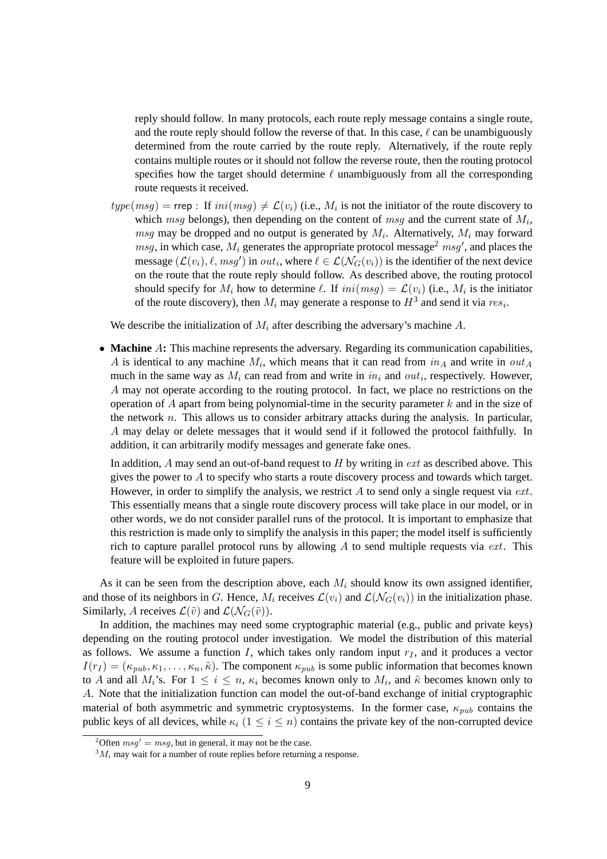reply should follow. In many protocols, each route reply message contains a single route, and the route reply should follow the reverse of that. In this case,  $\ell$  can be unambiguously determined from the route carried by the route reply. Alternatively, if the route reply contains multiple routes or it should not follow the reverse route, then the routing protocol specifies how the target should determine  $\ell$  unambiguously from all the corresponding route requests it received.

 $type(msg) =$  rrep : If  $ini(msg) \neq \mathcal{L}(v_i)$  (i.e.,  $M_i$  is not the initiator of the route discovery to which  $msg$  belongs), then depending on the content of  $msg$  and the current state of  $M_i$ , *msg* may be dropped and no output is generated by  $M_i$ . Alternatively,  $M_i$  may forward  $msg$ , in which case,  $M_i$  generates the appropriate protocol message<sup>2</sup>  $msg'$ , and places the message  $(\mathcal{L}(v_i), \ell, msg')$  in  $out_i$ , where  $\ell \in \mathcal{L}(\mathcal{N}_G(v_i))$  is the identifier of the next device on the route that the route reply should follow. As described above, the routing protocol should specify for  $M_i$  how to determine  $\ell$ . If  $ini(msq) = \mathcal{L}(v_i)$  (i.e.,  $M_i$  is the initiator of the route discovery), then  $M_i$  may generate a response to  $H^3$  and send it via  $res_i$ .

We describe the initialization of  $M_i$  after describing the adversary's machine A.

• **Machine** A: This machine represents the adversary. Regarding its communication capabilities, A is identical to any machine  $M_i$ , which means that it can read from  $in_A$  and write in  $out_A$ much in the same way as  $M_i$  can read from and write in  $in_i$  and  $out_i$ , respectively. However, A may not operate according to the routing protocol. In fact, we place no restrictions on the operation of  $A$  apart from being polynomial-time in the security parameter  $k$  and in the size of the network  $n$ . This allows us to consider arbitrary attacks during the analysis. In particular, A may delay or delete messages that it would send if it followed the protocol faithfully. In addition, it can arbitrarily modify messages and generate fake ones.

In addition, A may send an out-of-band request to H by writing in *ext* as described above. This gives the power to A to specify who starts a route discovery process and towards which target. However, in order to simplify the analysis, we restrict A to send only a single request via *ext*. This essentially means that a single route discovery process will take place in our model, or in other words, we do not consider parallel runs of the protocol. It is important to emphasize that this restriction is made only to simplify the analysis in this paper; the model itself is sufficiently rich to capture parallel protocol runs by allowing A to send multiple requests via *ext*. This feature will be exploited in future papers.

As it can be seen from the description above, each  $M_i$  should know its own assigned identifier, and those of its neighbors in G. Hence,  $M_i$  receives  $\mathcal{L}(v_i)$  and  $\mathcal{L}(\mathcal{N}_G(v_i))$  in the initialization phase. Similarly, A receives  $\mathcal{L}(\tilde{v})$  and  $\mathcal{L}(\mathcal{N}_G(\tilde{v}))$ .

In addition, the machines may need some cryptographic material (e.g., public and private keys) depending on the routing protocol under investigation. We model the distribution of this material as follows. We assume a function  $I$ , which takes only random input  $r_I$ , and it produces a vector  $I(r_I) = (\kappa_{pub}, \kappa_1,\ldots,\kappa_n, \tilde{\kappa})$ . The component  $\kappa_{pub}$  is some public information that becomes known to A and all  $M_i$ 's. For  $1 \leq i \leq n$ ,  $\kappa_i$  becomes known only to  $M_i$ , and  $\tilde{\kappa}$  becomes known only to A. Note that the initialization function can model the out-of-band exchange of initial cryptographic material of both asymmetric and symmetric cryptosystems. In the former case,  $\kappa_{pub}$  contains the public keys of all devices, while  $\kappa_i$  ( $1 \leq i \leq n$ ) contains the private key of the non-corrupted device

<sup>&</sup>lt;sup>2</sup>Often  $msg' = msg$ , but in general, it may not be the case.<br><sup>3</sup>M<sub>t</sub> may wait for a number of route replies before returning

 $^{3}M_{i}$  may wait for a number of route replies before returning a response.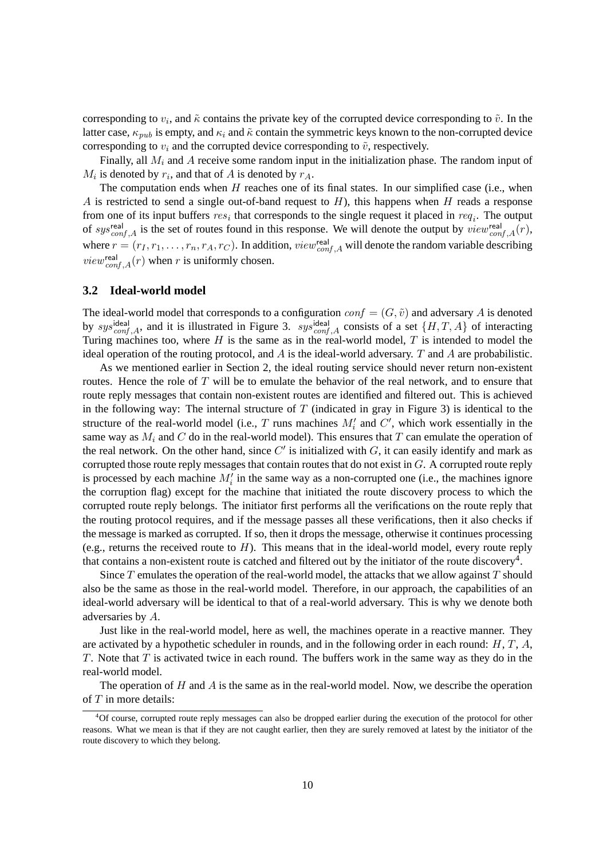corresponding to  $v_i$ , and  $\tilde{\kappa}$  contains the private key of the corrupted device corresponding to  $\tilde{v}$ . In the latter case,  $\kappa_{sub}$  is empty, and  $\kappa_i$  and  $\tilde{\kappa}$  contain the symmetric keys known to the non-corrupted device corresponding to  $v_i$  and the corrupted device corresponding to  $\tilde{v}$ , respectively.

Finally, all  $M_i$  and A receive some random input in the initialization phase. The random input of  $M_i$  is denoted by  $r_i$ , and that of A is denoted by  $r_A$ .

The computation ends when  $H$  reaches one of its final states. In our simplified case (i.e., when A is restricted to send a single out-of-band request to  $H$ ), this happens when H reads a response from one of its input buffers  $res<sub>i</sub>$  that corresponds to the single request it placed in  $req<sub>i</sub>$ . The output of  $sys_{conf,A}^{real}$  is the set of routes found in this response. We will denote the output by  $view_{conf,A}^{real}(r)$ , where  $r = (r_1, r_1, \ldots, r_n, r_A, r_C)$ . In addition,  $view_{conf, A}^{real}$  will denote the random variable describing  $view_{conf,A}^{real}(r)$  when r is uniformly chosen.

#### **3.2 Ideal-world model**

The ideal-world model that corresponds to a configuration  $conf = (G, \tilde{v})$  and adversary A is denoted by  $sys_{conf,A}^{ideal}$ , and it is illustrated in Figure 3.  $sys_{conf,A}^{ideal}$  consists of a set  $\{H, T, A\}$  of interacting Turing machines too, where  $H$  is the same as in the real-world model,  $T$  is intended to model the ideal operation of the routing protocol, and A is the ideal-world adversary. T and A are probabilistic.

As we mentioned earlier in Section 2, the ideal routing service should never return non-existent routes. Hence the role of T will be to emulate the behavior of the real network, and to ensure that route reply messages that contain non-existent routes are identified and filtered out. This is achieved in the following way: The internal structure of  $T$  (indicated in gray in Figure 3) is identical to the structure of the real-world model (i.e., T runs machines  $M_i'$  and  $C'$ , which work essentially in the same way as  $M_i$  and C do in the real-world model). This ensures that T can emulate the operation of the real network. On the other hand, since  $C'$  is initialized with  $G$ , it can easily identify and mark as corrupted those route reply messages that contain routes that do not exist in G. A corrupted route reply is processed by each machine  $M_i'$  in the same way as a non-corrupted one (i.e., the machines ignore the corruption flag) except for the machine that initiated the route discovery process to which the corrupted route reply belongs. The initiator first performs all the verifications on the route reply that the routing protocol requires, and if the message passes all these verifications, then it also checks if the message is marked as corrupted. If so, then it drops the message, otherwise it continues processing (e.g., returns the received route to  $H$ ). This means that in the ideal-world model, every route reply that contains a non-existent route is catched and filtered out by the initiator of the route discovery<sup>4</sup>.

Since  $T$  emulates the operation of the real-world model, the attacks that we allow against  $T$  should also be the same as those in the real-world model. Therefore, in our approach, the capabilities of an ideal-world adversary will be identical to that of a real-world adversary. This is why we denote both adversaries by A.

Just like in the real-world model, here as well, the machines operate in a reactive manner. They are activated by a hypothetic scheduler in rounds, and in the following order in each round:  $H, T, A$ , T. Note that T is activated twice in each round. The buffers work in the same way as they do in the real-world model.

The operation of  $H$  and  $A$  is the same as in the real-world model. Now, we describe the operation of  $T$  in more details:

<sup>4</sup> Of course, corrupted route reply messages can also be dropped earlier during the execution of the protocol for other reasons. What we mean is that if they are not caught earlier, then they are surely removed at latest by the initiator of the route discovery to which they belong.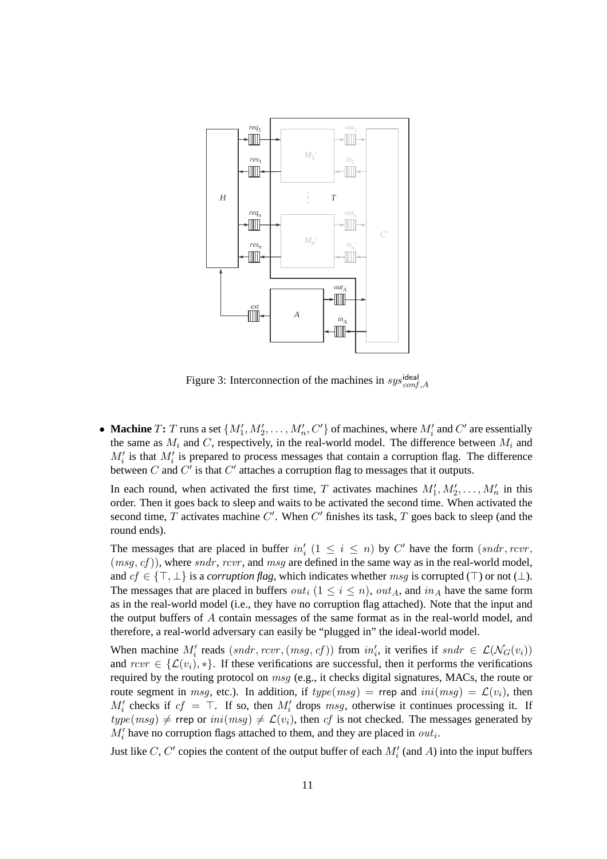

Figure 3: Interconnection of the machines in  $sys_{conf,A}^{ideal}$ 

• **Machine**  $T: T$  runs a set  $\{M'_1, M'_2, \ldots, M'_n, C'\}$  of machines, where  $M'_i$  and  $C'$  are essentially the same as  $M_i$  and C, respectively, in the real-world model. The difference between  $M_i$  and  $M_i'$  is that  $M_i'$  is prepared to process messages that contain a corruption flag. The difference between C and  $C'$  is that  $C'$  attaches a corruption flag to messages that it outputs.

In each round, when activated the first time, T activates machines  $M'_1, M'_2, \ldots, M'_n$  in this order. Then it goes back to sleep and waits to be activated the second time. When activated the second time, T activates machine  $C'$ . When  $C'$  finishes its task, T goes back to sleep (and the round ends).

The messages that are placed in buffer  $in'_i$   $(1 \leq i \leq n)$  by C' have the form  $(sndr, rcvr,$ (*msg*, *cf* )), where *sndr* , *rcvr* , and *msg* are defined in the same way as in the real-world model, and  $cf \in \{\top, \bot\}$  is a *corruption flag*, which indicates whether *msq* is corrupted ( $\top$ ) or not ( $\bot$ ). The messages that are placed in buffers  $out_i$  ( $1 \le i \le n$ ),  $out_A$ , and  $in_A$  have the same form as in the real-world model (i.e., they have no corruption flag attached). Note that the input and the output buffers of A contain messages of the same format as in the real-world model, and therefore, a real-world adversary can easily be "plugged in" the ideal-world model.

When machine  $M'_i$  reads  $(sndr, rcur, (msg, cf))$  from  $in'_i$ , it verifies if  $sndr \in \mathcal{L}(\mathcal{N}_G(v_i))$ and  $rcvr \in \{ \mathcal{L}(v_i), *\}.$  If these verifications are successful, then it performs the verifications required by the routing protocol on *msg* (e.g., it checks digital signatures, MACs, the route or route segment in *msg*, etc.). In addition, if  $type(msg) =$  rrep and  $ini(msg) = \mathcal{L}(v_i)$ , then  $M_i'$  checks if  $cf = \top$ . If so, then  $M_i'$  drops *msg*, otherwise it continues processing it. If  $type(msg) \neq rrep$  or  $ini(msg) \neq \mathcal{L}(v_i)$ , then *cf* is not checked. The messages generated by  $M_i'$  have no corruption flags attached to them, and they are placed in  $out_i$ .

Just like C, C' copies the content of the output buffer of each  $M_i'$  (and A) into the input buffers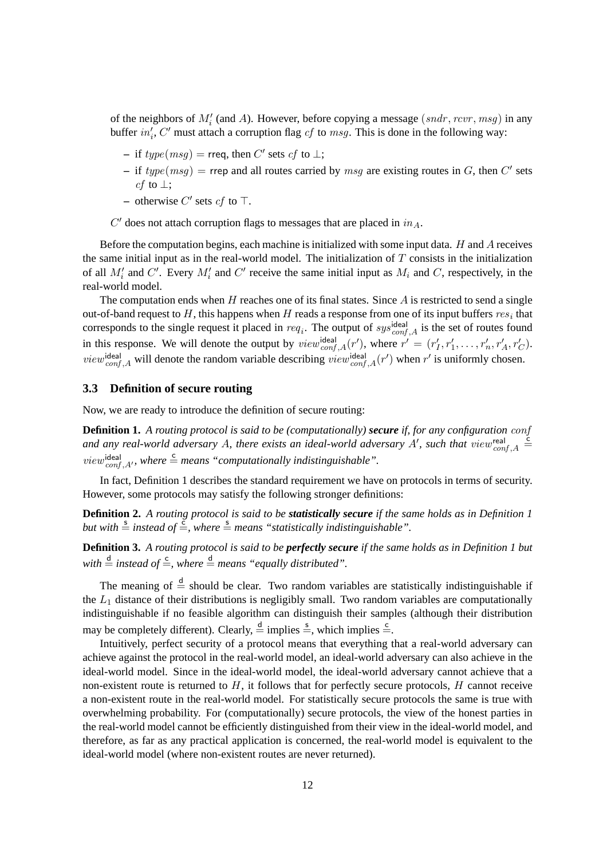of the neighbors of M <sup>i</sup> (and A). However, before copying a message (*sndr* , *rcvr* , *msg*) in any buffer  $in'_i$ ,  $C'$  must attach a corruption flag  $cf$  to  $msg$ . This is done in the following way:

- $\overline{\phantom{a}}$  = if *type*( $msq$ ) = rreq, then C' sets *cf* to  $\perp$ ;
- $-$  if *type*(*msg*) = rrep and all routes carried by *msg* are existing routes in G, then C' sets *cf* to ⊥;
- $-$  otherwise C' sets cf to  $\top$ .

 $C'$  does not attach corruption flags to messages that are placed in  $in_A$ .

Before the computation begins, each machine is initialized with some input data. H and A receives the same initial input as in the real-world model. The initialization of  $T$  consists in the initialization of all  $M'_i$  and  $C'$ . Every  $M'_i$  and  $C'$  receive the same initial input as  $M_i$  and  $C$ , respectively, in the real-world model.

The computation ends when H reaches one of its final states. Since  $\vec{A}$  is restricted to send a single out-of-band request to  $H$ , this happens when  $H$  reads a response from one of its input buffers  $res<sub>i</sub>$  that corresponds to the single request it placed in  $req_i$ . The output of  $sys_{conf,A}^{ideal}$  is the set of routes found in this response. We will denote the output by  $view_{conf, A}^{ideal}(r')$ , where  $r' = (r'_1, r'_1, \ldots, r'_n, r'_A, r'_C)$ . *view*<sup>ideal</sup><sub>conf</sub>, a will denote the random variable describing *view*<sup>ideal</sup><sub>conf</sub>,  $_A(r')$  when r' is uniformly chosen.

#### **3.3 Definition of secure routing**

Now, we are ready to introduce the definition of secure routing:

**Definition 1.** *A routing protocol is said to be (computationally) secure if, for any configuration conf and any real-world adversary* A*, there exists an ideal-world adversary* A *, such that view*real *conf* ,A  $\frac{c}{c}$ *view*<sup>ideal</sup><sub>conf</sub>,<sub>A</sub>, where  $\stackrel{\mathsf{c}}{=}$  *means* "*computationally indistinguishable*".

In fact, Definition 1 describes the standard requirement we have on protocols in terms of security. However, some protocols may satisfy the following stronger definitions:

**Definition 2.** A routing protocol is said to be **statistically secure** if the same holds as in Definition 1 but with  $\stackrel{\text{s}}{=}$  instead of  $\stackrel{\text{s}}{=}$ , where  $\stackrel{\text{s}}{=}$  means "statistically indistinguishable".

**Definition 3.** *A routing protocol is said to be perfectly secure if the same holds as in Definition 1 but* with  $\stackrel{\text{d}}{=}$  *instead of*  $\stackrel{\text{c}}{=}$ , *where*  $\stackrel{\text{d}}{=}$  *means* "*equally distributed*".

The meaning of  $\stackrel{d}{=}$  should be clear. Two random variables are statistically indistinguishable if the  $L_1$  distance of their distributions is negligibly small. Two random variables are computationally indistinguishable if no feasible algorithm can distinguish their samples (although their distribution may be completely different). Clearly,  $\stackrel{d}{=}$  implies  $\stackrel{s}{=}$ , which implies  $\stackrel{c}{=}$ .

Intuitively, perfect security of a protocol means that everything that a real-world adversary can achieve against the protocol in the real-world model, an ideal-world adversary can also achieve in the ideal-world model. Since in the ideal-world model, the ideal-world adversary cannot achieve that a non-existent route is returned to  $H$ , it follows that for perfectly secure protocols,  $H$  cannot receive a non-existent route in the real-world model. For statistically secure protocols the same is true with overwhelming probability. For (computationally) secure protocols, the view of the honest parties in the real-world model cannot be efficiently distinguished from their view in the ideal-world model, and therefore, as far as any practical application is concerned, the real-world model is equivalent to the ideal-world model (where non-existent routes are never returned).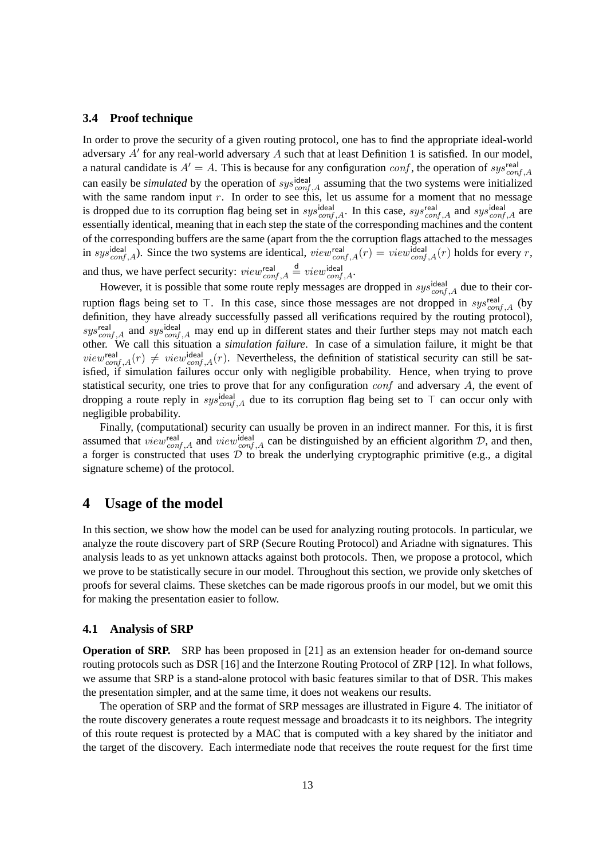#### **3.4 Proof technique**

In order to prove the security of a given routing protocol, one has to find the appropriate ideal-world adversary  $A'$  for any real-world adversary A such that at least Definition 1 is satisfied. In our model, a natural candidate is  $A' = A$ . This is because for any configuration *conf*, the operation of  $sys_{conf,A}^{real}$ can easily be *simulated* by the operation of  $sys_{conf,A}^{ideal}$  assuming that the two systems were initialized with the same random input  $r$ . In order to see this, let us assume for a moment that no message is dropped due to its corruption flag being set in  $sys_{conf,A}^{ideal}$ . In this case,  $sys_{conf,A}^{real}$  and  $sys_{conf,A}^{ideal}$  are essentially identical, meaning that in each step the state of the corresponding machines and the content of the corresponding buffers are the same (apart from the the corruption flags attached to the messages in  $sys_{conf,A}^{ideal}$ ). Since the two systems are identical,  $view_{conf,A}^{real}(r) = view_{conf,A}^{ideal}(r)$  holds for every r, and thus, we have perfect security:  $view_{conf, A}^{real}$  $\stackrel{\text{d}}{=}$   $view_{conf, A}^{\text{ideal}}$ .

However, it is possible that some route reply messages are dropped in  $sys_{conf,A}^{ideal}$  due to their corruption flags being set to  $\top$ . In this case, since those messages are not dropped in  $sys_{conf,A}^{real}$  (by definition, they have already successfully passed all verifications required by the routing protocol),  $sys_{conf,A}^{real}$  and  $sys_{conf,A}^{ideal}$  may end up in different states and their further steps may not match each other. We call this situation a *simulation failure*. In case of a simulation failure, it might be that  $view_{conf,A}^{real}(r) \neq view_{conf,A}^{ideal}(r)$ . Nevertheless, the definition of statistical security can still be satisfied, if simulation failures occur only with negligible probability. Hence, when trying to prove statistical security, one tries to prove that for any configuration *conf* and adversary A, the event of dropping a route reply in  $sys_{conf,A}^{ideal}$  due to its corruption flag being set to  $\top$  can occur only with negligible probability.

Finally, (computational) security can usually be proven in an indirect manner. For this, it is first assumed that  $view_{conf, A}^{real}$  and  $view_{conf, A}^{ideal}$  can be distinguished by an efficient algorithm  $D$ , and then, a forger is constructed that uses  $D$  to break the underlying cryptographic primitive (e.g., a digital signature scheme) of the protocol.

### **4 Usage of the model**

In this section, we show how the model can be used for analyzing routing protocols. In particular, we analyze the route discovery part of SRP (Secure Routing Protocol) and Ariadne with signatures. This analysis leads to as yet unknown attacks against both protocols. Then, we propose a protocol, which we prove to be statistically secure in our model. Throughout this section, we provide only sketches of proofs for several claims. These sketches can be made rigorous proofs in our model, but we omit this for making the presentation easier to follow.

#### **4.1 Analysis of SRP**

**Operation of SRP.** SRP has been proposed in [21] as an extension header for on-demand source routing protocols such as DSR [16] and the Interzone Routing Protocol of ZRP [12]. In what follows, we assume that SRP is a stand-alone protocol with basic features similar to that of DSR. This makes the presentation simpler, and at the same time, it does not weakens our results.

The operation of SRP and the format of SRP messages are illustrated in Figure 4. The initiator of the route discovery generates a route request message and broadcasts it to its neighbors. The integrity of this route request is protected by a MAC that is computed with a key shared by the initiator and the target of the discovery. Each intermediate node that receives the route request for the first time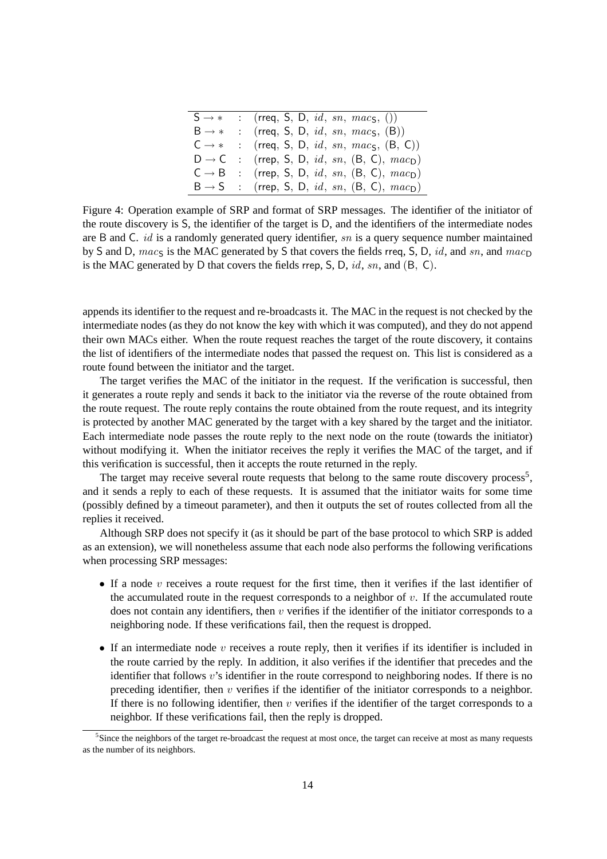| $S \rightarrow *$ | : (rreq, S, D, id, sn, mac <sub>S</sub> , ())                       |
|-------------------|---------------------------------------------------------------------|
| $B \rightarrow *$ | : (rreq, S, D, id, sn, mac <sub>S</sub> , $(B)$ )                   |
| $C \rightarrow *$ | : (rreq, S, D, id, sn, mac <sub>S</sub> , $(B, C)$ )                |
| $D \rightarrow C$ | : (rrep, S, D, id, sn, $(B, C), \, mac_D)$ )                        |
| $C \rightarrow B$ | : (rrep, S, D, id, sn, $(B, C), \, mac_D)$ )                        |
|                   | $B \rightarrow S$ : (rrep, S, D, id, sn, (B, C), mac <sub>D</sub> ) |
|                   |                                                                     |

Figure 4: Operation example of SRP and format of SRP messages. The identifier of the initiator of the route discovery is S, the identifier of the target is D, and the identifiers of the intermediate nodes are B and C. *id* is a randomly generated query identifier, *sn* is a query sequence number maintained by S and D,  $mac_S$  is the MAC generated by S that covers the fields rreq, S, D, *id*, and *sn*, and  $mac_D$ is the MAC generated by D that covers the fields rrep, S, D, *id*, *sn*, and (B, C).

appends its identifier to the request and re-broadcasts it. The MAC in the request is not checked by the intermediate nodes (as they do not know the key with which it was computed), and they do not append their own MACs either. When the route request reaches the target of the route discovery, it contains the list of identifiers of the intermediate nodes that passed the request on. This list is considered as a route found between the initiator and the target.

The target verifies the MAC of the initiator in the request. If the verification is successful, then it generates a route reply and sends it back to the initiator via the reverse of the route obtained from the route request. The route reply contains the route obtained from the route request, and its integrity is protected by another MAC generated by the target with a key shared by the target and the initiator. Each intermediate node passes the route reply to the next node on the route (towards the initiator) without modifying it. When the initiator receives the reply it verifies the MAC of the target, and if this verification is successful, then it accepts the route returned in the reply.

The target may receive several route requests that belong to the same route discovery process<sup>5</sup>. and it sends a reply to each of these requests. It is assumed that the initiator waits for some time (possibly defined by a timeout parameter), and then it outputs the set of routes collected from all the replies it received.

Although SRP does not specify it (as it should be part of the base protocol to which SRP is added as an extension), we will nonetheless assume that each node also performs the following verifications when processing SRP messages:

- If a node  $v$  receives a route request for the first time, then it verifies if the last identifier of the accumulated route in the request corresponds to a neighbor of  $v$ . If the accumulated route does not contain any identifiers, then  $v$  verifies if the identifier of the initiator corresponds to a neighboring node. If these verifications fail, then the request is dropped.
- If an intermediate node  $v$  receives a route reply, then it verifies if its identifier is included in the route carried by the reply. In addition, it also verifies if the identifier that precedes and the identifier that follows v's identifier in the route correspond to neighboring nodes. If there is no preceding identifier, then  $v$  verifies if the identifier of the initiator corresponds to a neighbor. If there is no following identifier, then  $v$  verifies if the identifier of the target corresponds to a neighbor. If these verifications fail, then the reply is dropped.

<sup>&</sup>lt;sup>5</sup>Since the neighbors of the target re-broadcast the request at most once, the target can receive at most as many requests as the number of its neighbors.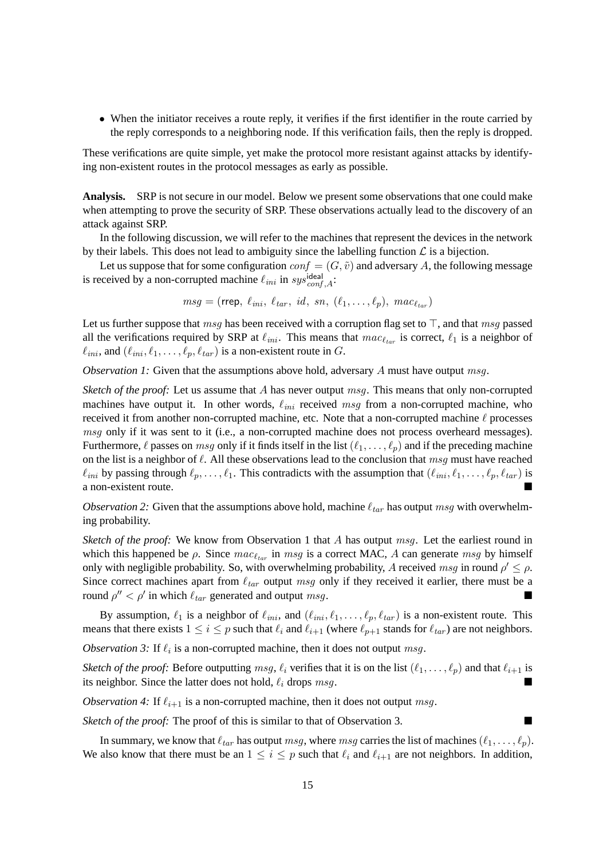• When the initiator receives a route reply, it verifies if the first identifier in the route carried by the reply corresponds to a neighboring node. If this verification fails, then the reply is dropped.

These verifications are quite simple, yet make the protocol more resistant against attacks by identifying non-existent routes in the protocol messages as early as possible.

**Analysis.** SRP is not secure in our model. Below we present some observations that one could make when attempting to prove the security of SRP. These observations actually lead to the discovery of an attack against SRP.

In the following discussion, we will refer to the machines that represent the devices in the network by their labels. This does not lead to ambiguity since the labelling function  $\mathcal L$  is a bijection.

Let us suppose that for some configuration  $conf = (G, \tilde{v})$  and adversary A, the following message is received by a non-corrupted machine  $\ell_{ini}$  in  $sys_{conf,A}^{ideal}$ .

$$
msg = (rrep, \ell_{ini}, \ell_{tar}, id, sn, (\ell_1, \ldots, \ell_p), \; mac_{\ell_{tar}})
$$

Let us further suppose that  $msg$  has been received with a corruption flag set to  $\top$ , and that  $msg$  passed all the verifications required by SRP at  $\ell_{ini}$ . This means that  $mac_{\ell_{tar}}$  is correct,  $\ell_1$  is a neighbor of  $\ell_{ini}$ , and  $(\ell_{ini}, \ell_1, \ldots, \ell_p, \ell_{tar})$  is a non-existent route in G.

*Observation 1:* Given that the assumptions above hold, adversary A must have output *msg*.

*Sketch of the proof:* Let us assume that A has never output *msg*. This means that only non-corrupted machines have output it. In other words,  $\ell_{ini}$  received  $msg$  from a non-corrupted machine, who received it from another non-corrupted machine, etc. Note that a non-corrupted machine  $\ell$  processes *msg* only if it was sent to it (i.e., a non-corrupted machine does not process overheard messages). Furthermore,  $\ell$  passes on *msg* only if it finds itself in the list  $(\ell_1,\ldots,\ell_p)$  and if the preceding machine on the list is a neighbor of  $\ell$ . All these observations lead to the conclusion that *msg* must have reached  $\ell_{ini}$  by passing through  $\ell_p, \ldots, \ell_1$ . This contradicts with the assumption that  $(\ell_{ini}, \ell_1, \ldots, \ell_p, \ell_{tar})$  is a non-existent route.

*Observation 2:* Given that the assumptions above hold, machine  $\ell_{tar}$  has output  $msg$  with overwhelming probability.

*Sketch of the proof:* We know from Observation 1 that A has output *msg*. Let the earliest round in which this happened be  $\rho$ . Since  $mac_{\ell_{tar}}$  in  $msg$  is a correct MAC, A can generate  $msg$  by himself only with negligible probability. So, with overwhelming probability, A received  $msg$  in round  $\rho' \leq \rho$ . Since correct machines apart from  $\ell_{tar}$  output *msg* only if they received it earlier, there must be a round  $\rho'' < \rho'$  in which  $\ell_{tar}$  generated and output *msg*.

By assumption,  $\ell_1$  is a neighbor of  $\ell_{ini}$ , and  $(\ell_{ini}, \ell_1, \ldots, \ell_p, \ell_{tar})$  is a non-existent route. This means that there exists  $1 \le i \le p$  such that  $\ell_i$  and  $\ell_{i+1}$  (where  $\ell_{p+1}$  stands for  $\ell_{tar}$ ) are not neighbors.

*Observation 3:* If  $\ell_i$  is a non-corrupted machine, then it does not output msg.

*Sketch of the proof:* Before outputting  $msg, \ell_i$  verifies that it is on the list  $(\ell_1, \ldots, \ell_p)$  and that  $\ell_{i+1}$  is its neighbor. Since the latter does not hold,  $\ell_i$  drops  $msg$ .

*Observation 4:* If  $\ell_{i+1}$  is a non-corrupted machine, then it does not output *msq*.

*Sketch of the proof:* The proof of this is similar to that of Observation 3.

In summary, we know that  $\ell_{tar}$  has output *msg*, where *msg* carries the list of machines  $(\ell_1, \ldots, \ell_p)$ . We also know that there must be an  $1 \le i \le p$  such that  $\ell_i$  and  $\ell_{i+1}$  are not neighbors. In addition,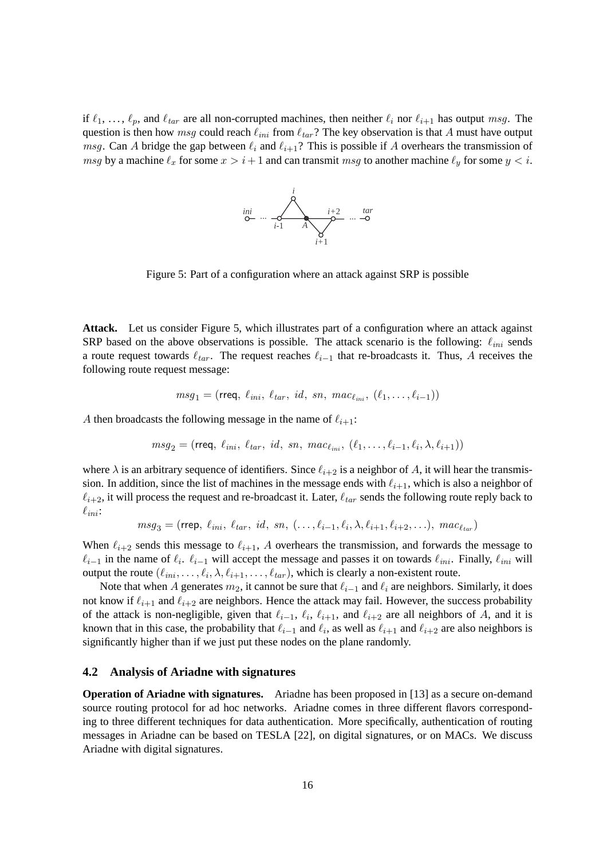if  $\ell_1, \ldots, \ell_p$ , and  $\ell_{tar}$  are all non-corrupted machines, then neither  $\ell_i$  nor  $\ell_{i+1}$  has output *msg*. The question is then how *msg* could reach  $\ell_{ini}$  from  $\ell_{tar}$ ? The key observation is that A must have output *msg*. Can A bridge the gap between  $\ell_i$  and  $\ell_{i+1}$ ? This is possible if A overhears the transmission of *msg* by a machine  $\ell_x$  for some  $x > i+1$  and can transmit *msg* to another machine  $\ell_y$  for some  $y < i$ .



Figure 5: Part of a configuration where an attack against SRP is possible

**Attack.** Let us consider Figure 5, which illustrates part of a configuration where an attack against SRP based on the above observations is possible. The attack scenario is the following:  $\ell_{ini}$  sends a route request towards  $\ell_{tar}$ . The request reaches  $\ell_{i-1}$  that re-broadcasts it. Thus, A receives the following route request message:

$$
msg_1 = (rreq, \ell_{ini}, \ell_{tar}, id, sn, mac_{\ell_{ini}}, (\ell_1, \ldots, \ell_{i-1}))
$$

A then broadcasts the following message in the name of  $\ell_{i+1}$ :

$$
msg_2 = (rreq, \ell_{ini}, \ell_{tar}, id, sn, mac_{\ell_{ini}}, (\ell_1, \ldots, \ell_{i-1}, \ell_i, \lambda, \ell_{i+1}))
$$

where  $\lambda$  is an arbitrary sequence of identifiers. Since  $\ell_{i+2}$  is a neighbor of A, it will hear the transmission. In addition, since the list of machines in the message ends with  $\ell_{i+1}$ , which is also a neighbor of  $\ell_{i+2}$ , it will process the request and re-broadcast it. Later,  $\ell_{tar}$  sends the following route reply back to *ini*:

 $msg_3 = (rrep, \ell_{ini}, \ell_{tar}, id, sn, (..., \ell_{i-1}, \ell_i, \lambda, \ell_{i+1}, \ell_{i+2},...), mac_{\ell_{tar}})$ 

When  $\ell_{i+2}$  sends this message to  $\ell_{i+1}$ , A overhears the transmission, and forwards the message to  $\ell_{i-1}$  in the name of  $\ell_i$ .  $\ell_{i-1}$  will accept the message and passes it on towards  $\ell_{ini}$ . Finally,  $\ell_{ini}$  will output the route  $(\ell_{ini},\ldots,\ell_i,\lambda,\ell_{i+1},\ldots,\ell_{tar})$ , which is clearly a non-existent route.

Note that when A generates  $m_2$ , it cannot be sure that  $\ell_{i-1}$  and  $\ell_i$  are neighbors. Similarly, it does not know if  $\ell_{i+1}$  and  $\ell_{i+2}$  are neighbors. Hence the attack may fail. However, the success probability of the attack is non-negligible, given that  $\ell_{i-1}$ ,  $\ell_i$ ,  $\ell_{i+1}$ , and  $\ell_{i+2}$  are all neighbors of A, and it is known that in this case, the probability that  $\ell_{i-1}$  and  $\ell_i$ , as well as  $\ell_{i+1}$  and  $\ell_{i+2}$  are also neighbors is significantly higher than if we just put these nodes on the plane randomly.

#### **4.2 Analysis of Ariadne with signatures**

**Operation of Ariadne with signatures.** Ariadne has been proposed in [13] as a secure on-demand source routing protocol for ad hoc networks. Ariadne comes in three different flavors corresponding to three different techniques for data authentication. More specifically, authentication of routing messages in Ariadne can be based on TESLA [22], on digital signatures, or on MACs. We discuss Ariadne with digital signatures.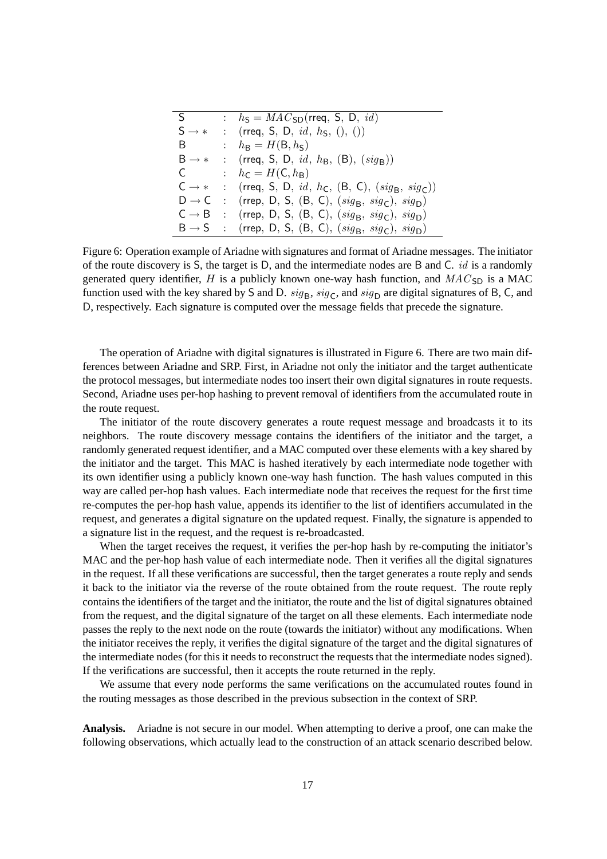| S.                | : $h_{\mathsf{S}} = MAC_{\mathsf{SD}}(\mathsf{rreq}, \mathsf{S}, \mathsf{D}, \mathit{id})$ |
|-------------------|--------------------------------------------------------------------------------------------|
| $S \rightarrow *$ | : (rreq, S, D, id, $h_S$ , (), ())                                                         |
| B                 | $h_{\mathsf{B}} = H(\mathsf{B}, h_{\mathsf{S}})$                                           |
| $B \rightarrow *$ | : (rreq, S, D, id, h <sub>B</sub> , (B), $(sig_B)$ )                                       |
| C                 | : $h_{\mathsf{C}} = H(\mathsf{C}, h_{\mathsf{B}})$                                         |
| $C \rightarrow *$ | : (rreq, S, D, id, h <sub>C</sub> , (B, C), (sig <sub>B</sub> , sig <sub>C</sub> ))        |
| $D \rightarrow C$ | : (rrep, D, S, (B, C), $(sig_B, sig_C), sig_D)$                                            |
| $C \rightarrow B$ | : (rrep, D, S, (B, C), $(sig_B, sig_C), sig_D)$                                            |
| $B \rightarrow S$ | : (rrep, D, S, (B, C), $(sign_B, sig_C), sig_D)$                                           |

Figure 6: Operation example of Ariadne with signatures and format of Ariadne messages. The initiator of the route discovery is S, the target is D, and the intermediate nodes are B and C. *id* is a randomly generated query identifier,  $H$  is a publicly known one-way hash function, and  $MAC_{SD}$  is a MAC function used with the key shared by S and D.  $sig_B$ ,  $sig_C$ , and  $sig_D$  are digital signatures of B, C, and D, respectively. Each signature is computed over the message fields that precede the signature.

The operation of Ariadne with digital signatures is illustrated in Figure 6. There are two main differences between Ariadne and SRP. First, in Ariadne not only the initiator and the target authenticate the protocol messages, but intermediate nodes too insert their own digital signatures in route requests. Second, Ariadne uses per-hop hashing to prevent removal of identifiers from the accumulated route in the route request.

The initiator of the route discovery generates a route request message and broadcasts it to its neighbors. The route discovery message contains the identifiers of the initiator and the target, a randomly generated request identifier, and a MAC computed over these elements with a key shared by the initiator and the target. This MAC is hashed iteratively by each intermediate node together with its own identifier using a publicly known one-way hash function. The hash values computed in this way are called per-hop hash values. Each intermediate node that receives the request for the first time re-computes the per-hop hash value, appends its identifier to the list of identifiers accumulated in the request, and generates a digital signature on the updated request. Finally, the signature is appended to a signature list in the request, and the request is re-broadcasted.

When the target receives the request, it verifies the per-hop hash by re-computing the initiator's MAC and the per-hop hash value of each intermediate node. Then it verifies all the digital signatures in the request. If all these verifications are successful, then the target generates a route reply and sends it back to the initiator via the reverse of the route obtained from the route request. The route reply contains the identifiers of the target and the initiator, the route and the list of digital signatures obtained from the request, and the digital signature of the target on all these elements. Each intermediate node passes the reply to the next node on the route (towards the initiator) without any modifications. When the initiator receives the reply, it verifies the digital signature of the target and the digital signatures of the intermediate nodes (for this it needs to reconstruct the requests that the intermediate nodes signed). If the verifications are successful, then it accepts the route returned in the reply.

We assume that every node performs the same verifications on the accumulated routes found in the routing messages as those described in the previous subsection in the context of SRP.

**Analysis.** Ariadne is not secure in our model. When attempting to derive a proof, one can make the following observations, which actually lead to the construction of an attack scenario described below.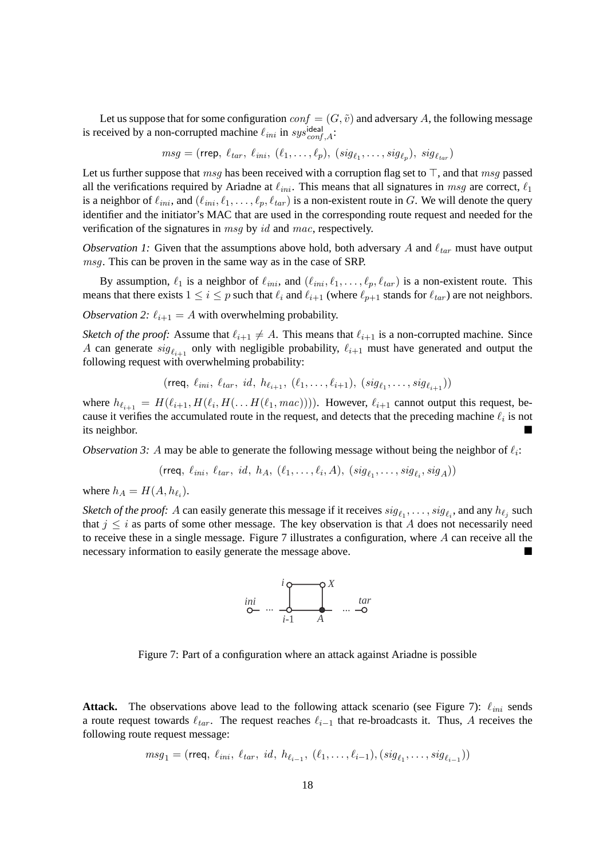Let us suppose that for some configuration  $conf = (G, \tilde{v})$  and adversary A, the following message is received by a non-corrupted machine  $\ell_{ini}$  in  $sys_{conf,A}^{ideal}$ .

 $msg = (rrep, \ell_{tar}, \ell_{ini}, (\ell_1, \ldots, \ell_p), (sig_{\ell_1}, \ldots, sig_{\ell_p}), sig_{\ell_{tr}})$ 

Let us further suppose that *msq* has been received with a corruption flag set to  $\top$ , and that *msq* passed all the verifications required by Ariadne at  $\ell_{ini}$ . This means that all signatures in *msg* are correct,  $\ell_1$ is a neighbor of  $\ell_{ini}$ , and  $(\ell_{ini}, \ell_1, \ldots, \ell_p, \ell_{tar})$  is a non-existent route in G. We will denote the query identifier and the initiator's MAC that are used in the corresponding route request and needed for the verification of the signatures in *msg* by *id* and *mac*, respectively.

*Observation 1:* Given that the assumptions above hold, both adversary A and  $\ell_{tar}$  must have output *msg*. This can be proven in the same way as in the case of SRP.

By assumption,  $\ell_1$  is a neighbor of  $\ell_{ini}$ , and  $(\ell_{ini}, \ell_1, \ldots, \ell_p, \ell_{tar})$  is a non-existent route. This means that there exists  $1 \le i \le p$  such that  $\ell_i$  and  $\ell_{i+1}$  (where  $\ell_{p+1}$  stands for  $\ell_{tar}$ ) are not neighbors.

*Observation 2:*  $\ell_{i+1} = A$  with overwhelming probability.

*Sketch of the proof:* Assume that  $\ell_{i+1} \neq A$ . This means that  $\ell_{i+1}$  is a non-corrupted machine. Since A can generate  $sig_{\ell_{i+1}}$  only with negligible probability,  $\ell_{i+1}$  must have generated and output the following request with overwhelming probability:

$$
(\text{rreq}, \ell_{ini}, \ell_{tar}, id, h_{\ell_{i+1}}, (\ell_1, \ldots, \ell_{i+1}), (sig_{\ell_1}, \ldots, sig_{\ell_{i+1}}))
$$

where  $h_{\ell_{i+1}} = H(\ell_{i+1}, H(\ell_i, H(\ldots H(\ell_1, mac))))$ . However,  $\ell_{i+1}$  cannot output this request, because it verifies the accumulated route in the request, and detects that the preceding machine  $\ell_i$  is not its neighbor.

*Observation 3:* A may be able to generate the following message without being the neighbor of  $\ell_i$ :

$$
(\mathsf{rreq}, \ell_{ini}, \ell_{tar}, \mathit{id}, \mathit{h}_A, (\ell_1, \ldots, \ell_i, A), (\mathit{sig}_{\ell_1}, \ldots, \mathit{sig}_{\ell_i}, \mathit{sig}_A))
$$

where  $h_A = H(A, h_{\ell_i})$ .

*Sketch of the proof:* A can easily generate this message if it receives  $sig_{\ell_1}, \ldots, sig_{\ell_i}$ , and any  $h_{\ell_j}$  such that  $j \leq i$  as parts of some other message. The key observation is that A does not necessarily need to receive these in a single message. Figure 7 illustrates a configuration, where  $A$  can receive all the necessary information to easily generate the message above.



Figure 7: Part of a configuration where an attack against Ariadne is possible

**Attack.** The observations above lead to the following attack scenario (see Figure 7):  $\ell_{ini}$  sends a route request towards  $\ell_{tar}$ . The request reaches  $\ell_{i-1}$  that re-broadcasts it. Thus, A receives the following route request message:

$$
msg_1 = (rreq, \ell_{ini}, \ell_{tar}, id, h_{\ell_{i-1}}, (\ell_1, \ldots, \ell_{i-1}), (sig_{\ell_1}, \ldots, sig_{\ell_{i-1}}))
$$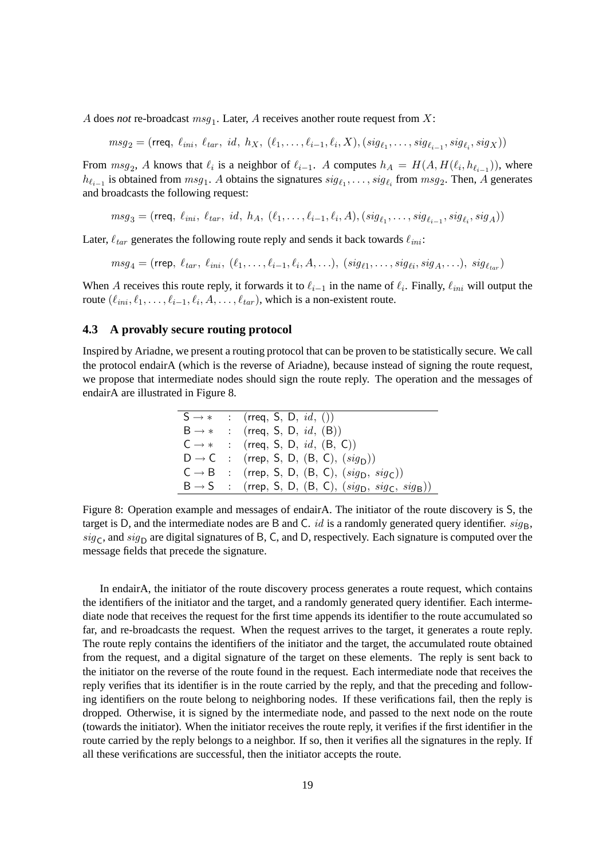A does *not* re-broadcast *msg*1. Later, A receives another route request from X:

 $msg_2 = (rreq, \ell_{ini}, \ell_{tar}, id, h_X, (\ell_1, \ldots, \ell_{i-1}, \ell_i, X), (sig_{\ell_1}, \ldots, sig_{\ell_{i-1}}, sig_{\ell_i}, sig_X))$ 

From  $msg_2$ , A knows that  $\ell_i$  is a neighbor of  $\ell_{i-1}$ . A computes  $h_A = H(A, H(\ell_i, h_{\ell_{i-1}}))$ , where  $h_{\ell_{i-1}}$  is obtained from  $msg_1$ . A obtains the signatures  $sig_{\ell_1}, \ldots, sig_{\ell_i}$  from  $msg_2$ . Then, A generates and broadcasts the following request:

 $msg_3 = (rreq, \ell_{ini}, \ell_{tar}, id, h_A, (\ell_1, \ldots, \ell_{i-1}, \ell_i, A), (sig_{\ell_1}, \ldots, sig_{\ell_{i-1}}, sig_{\ell_i}, sig_A))$ 

Later,  $\ell_{tar}$  generates the following route reply and sends it back towards  $\ell_{ini}$ :

 $msg_4 = (rrep, \ell_{tar}, \ell_{ini}, (\ell_1, \ldots, \ell_{i-1}, \ell_i, A, \ldots), (sig_{\ell_1}, \ldots, sig_{\ell_i}, sig_A, \ldots), sig_{\ell_{i-1}})$ 

When A receives this route reply, it forwards it to  $\ell_{i-1}$  in the name of  $\ell_i$ . Finally,  $\ell_{ini}$  will output the route  $(\ell_{ini}, \ell_1, \ldots, \ell_{i-1}, \ell_i, A, \ldots, \ell_{tar})$ , which is a non-existent route.

#### **4.3 A provably secure routing protocol**

Inspired by Ariadne, we present a routing protocol that can be proven to be statistically secure. We call the protocol endairA (which is the reverse of Ariadne), because instead of signing the route request, we propose that intermediate nodes should sign the route reply. The operation and the messages of endairA are illustrated in Figure 8.

$$
S \rightarrow * : (rreq, S, D, id, ())
$$
  
\n
$$
B \rightarrow * : (rreq, S, D, id, (B))
$$
  
\n
$$
C \rightarrow * : (rreq, S, D, id, (B, C))
$$
  
\n
$$
D \rightarrow C : (rrep, S, D, (B, C), (sig_D))
$$
  
\n
$$
C \rightarrow B : (rrep, S, D, (B, C), (sig_D, sig_C))
$$
  
\n
$$
B \rightarrow S : (rrep, S, D, (B, C), (sig_D, sig_C, sig_B))
$$

Figure 8: Operation example and messages of endairA. The initiator of the route discovery is S, the target is D, and the intermediate nodes are B and C.  $id$  is a randomly generated query identifier.  $sig_B$ ,  $sig<sub>C</sub>$ , and  $sig<sub>D</sub>$  are digital signatures of B, C, and D, respectively. Each signature is computed over the message fields that precede the signature.

In endairA, the initiator of the route discovery process generates a route request, which contains the identifiers of the initiator and the target, and a randomly generated query identifier. Each intermediate node that receives the request for the first time appends its identifier to the route accumulated so far, and re-broadcasts the request. When the request arrives to the target, it generates a route reply. The route reply contains the identifiers of the initiator and the target, the accumulated route obtained from the request, and a digital signature of the target on these elements. The reply is sent back to the initiator on the reverse of the route found in the request. Each intermediate node that receives the reply verifies that its identifier is in the route carried by the reply, and that the preceding and following identifiers on the route belong to neighboring nodes. If these verifications fail, then the reply is dropped. Otherwise, it is signed by the intermediate node, and passed to the next node on the route (towards the initiator). When the initiator receives the route reply, it verifies if the first identifier in the route carried by the reply belongs to a neighbor. If so, then it verifies all the signatures in the reply. If all these verifications are successful, then the initiator accepts the route.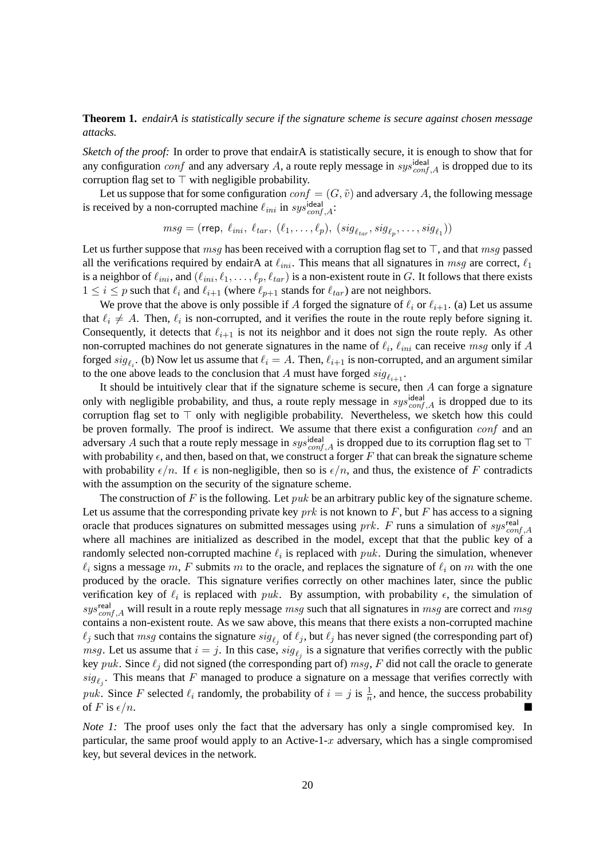**Theorem 1.** *endairA is statistically secure if the signature scheme is secure against chosen message attacks.*

*Sketch of the proof:* In order to prove that endairA is statistically secure, it is enough to show that for any configuration *conf* and any adversary A, a route reply message in  $sys_{conf,A}^{ideal}$  is dropped due to its corruption flag set to  $\top$  with negligible probability.

Let us suppose that for some configuration  $conf = (G, \tilde{v})$  and adversary A, the following message is received by a non-corrupted machine  $\ell_{ini}$  in  $sys_{conf,A}^{ideal}$ .

$$
msg = (rrep, \ell_{ini}, \ell_{tar}, (\ell_1, \ldots, \ell_p), (sig_{\ell_{tar}}, sig_{\ell_p}, \ldots, sig_{\ell_1}))
$$

Let us further suppose that  $msg$  has been received with a corruption flag set to  $\top$ , and that  $msg$  passed all the verifications required by endairA at  $\ell_{ini}$ . This means that all signatures in *msg* are correct,  $\ell_1$ is a neighbor of  $\ell_{ini}$ , and  $(\ell_{ini}, \ell_1, \ldots, \ell_p, \ell_{tar})$  is a non-existent route in G. It follows that there exists  $1 \le i \le p$  such that  $\ell_i$  and  $\ell_{i+1}$  (where  $\ell_{p+1}$  stands for  $\ell_{tar}$ ) are not neighbors.

We prove that the above is only possible if A forged the signature of  $\ell_i$  or  $\ell_{i+1}$ . (a) Let us assume that  $\ell_i \neq A$ . Then,  $\ell_i$  is non-corrupted, and it verifies the route in the route reply before signing it. Consequently, it detects that  $\ell_{i+1}$  is not its neighbor and it does not sign the route reply. As other non-corrupted machines do not generate signatures in the name of  $\ell_i$ ,  $\ell_{ini}$  can receive *msg* only if A forged  $sig_{\ell_i}$ . (b) Now let us assume that  $\ell_i = A$ . Then,  $\ell_{i+1}$  is non-corrupted, and an argument similar to the one above leads to the conclusion that A must have forged  $sig_{\ell_{i+1}}$ .

It should be intuitively clear that if the signature scheme is secure, then  $A$  can forge a signature only with negligible probability, and thus, a route reply message in  $sys_{conf,A}^{ideal}$  is dropped due to its corruption flag set to  $\top$  only with negligible probability. Nevertheless, we sketch how this could be proven formally. The proof is indirect. We assume that there exist a configuration *conf* and an adversary A such that a route reply message in  $sys_{conf,A}^{ideal}$  is dropped due to its corruption flag set to  $\top$ with probability  $\epsilon$ , and then, based on that, we construct a forger F that can break the signature scheme with probability  $\epsilon/n$ . If  $\epsilon$  is non-negligible, then so is  $\epsilon/n$ , and thus, the existence of F contradicts with the assumption on the security of the signature scheme.

The construction of F is the following. Let *puk* be an arbitrary public key of the signature scheme. Let us assume that the corresponding private key  $prk$  is not known to  $F$ , but  $F$  has access to a signing oracle that produces signatures on submitted messages using *prk*. F runs a simulation of  $sys_{conf,A}^{real}$ where all machines are initialized as described in the model, except that that the public key of a randomly selected non-corrupted machine  $l_i$  is replaced with *puk*. During the simulation, whenever  $\ell_i$  signs a message m, F submits m to the oracle, and replaces the signature of  $\ell_i$  on m with the one produced by the oracle. This signature verifies correctly on other machines later, since the public verification key of  $\ell_i$  is replaced with *puk*. By assumption, with probability  $\epsilon$ , the simulation of *sys*real *conf* ,A will result in a route reply message *msg* such that all signatures in *msg* are correct and *msg* contains a non-existent route. As we saw above, this means that there exists a non-corrupted machine  $\ell_j$  such that *msg* contains the signature  $sig_{\ell_j}$  of  $\ell_j$ , but  $\ell_j$  has never signed (the corresponding part of) *msg*. Let us assume that  $i = j$ . In this case,  $sig_{\ell_i}$  is a signature that verifies correctly with the public key *puk*. Since  $\ell_j$  did not signed (the corresponding part of) *msg*, F did not call the oracle to generate  $sig_{\ell_i}$ . This means that F managed to produce a signature on a message that verifies correctly with *puk*. Since F selected  $\ell_i$  randomly, the probability of  $i = j$  is  $\frac{1}{n}$ , and hence, the success probability of F is  $\epsilon/n$ .

*Note 1:* The proof uses only the fact that the adversary has only a single compromised key. In particular, the same proof would apply to an Active-1-x adversary, which has a single compromised key, but several devices in the network.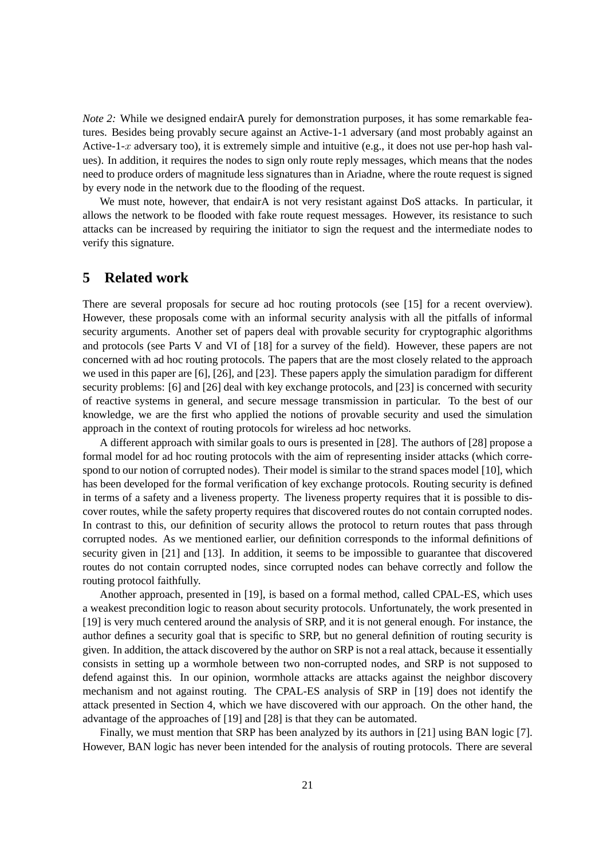*Note 2:* While we designed endairA purely for demonstration purposes, it has some remarkable features. Besides being provably secure against an Active-1-1 adversary (and most probably against an Active-1-x adversary too), it is extremely simple and intuitive (e.g., it does not use per-hop hash values). In addition, it requires the nodes to sign only route reply messages, which means that the nodes need to produce orders of magnitude less signatures than in Ariadne, where the route request is signed by every node in the network due to the flooding of the request.

We must note, however, that endairA is not very resistant against DoS attacks. In particular, it allows the network to be flooded with fake route request messages. However, its resistance to such attacks can be increased by requiring the initiator to sign the request and the intermediate nodes to verify this signature.

### **5 Related work**

There are several proposals for secure ad hoc routing protocols (see [15] for a recent overview). However, these proposals come with an informal security analysis with all the pitfalls of informal security arguments. Another set of papers deal with provable security for cryptographic algorithms and protocols (see Parts V and VI of [18] for a survey of the field). However, these papers are not concerned with ad hoc routing protocols. The papers that are the most closely related to the approach we used in this paper are [6], [26], and [23]. These papers apply the simulation paradigm for different security problems: [6] and [26] deal with key exchange protocols, and [23] is concerned with security of reactive systems in general, and secure message transmission in particular. To the best of our knowledge, we are the first who applied the notions of provable security and used the simulation approach in the context of routing protocols for wireless ad hoc networks.

A different approach with similar goals to ours is presented in [28]. The authors of [28] propose a formal model for ad hoc routing protocols with the aim of representing insider attacks (which correspond to our notion of corrupted nodes). Their model is similar to the strand spaces model [10], which has been developed for the formal verification of key exchange protocols. Routing security is defined in terms of a safety and a liveness property. The liveness property requires that it is possible to discover routes, while the safety property requires that discovered routes do not contain corrupted nodes. In contrast to this, our definition of security allows the protocol to return routes that pass through corrupted nodes. As we mentioned earlier, our definition corresponds to the informal definitions of security given in [21] and [13]. In addition, it seems to be impossible to guarantee that discovered routes do not contain corrupted nodes, since corrupted nodes can behave correctly and follow the routing protocol faithfully.

Another approach, presented in [19], is based on a formal method, called CPAL-ES, which uses a weakest precondition logic to reason about security protocols. Unfortunately, the work presented in [19] is very much centered around the analysis of SRP, and it is not general enough. For instance, the author defines a security goal that is specific to SRP, but no general definition of routing security is given. In addition, the attack discovered by the author on SRP is not a real attack, because it essentially consists in setting up a wormhole between two non-corrupted nodes, and SRP is not supposed to defend against this. In our opinion, wormhole attacks are attacks against the neighbor discovery mechanism and not against routing. The CPAL-ES analysis of SRP in [19] does not identify the attack presented in Section 4, which we have discovered with our approach. On the other hand, the advantage of the approaches of [19] and [28] is that they can be automated.

Finally, we must mention that SRP has been analyzed by its authors in [21] using BAN logic [7]. However, BAN logic has never been intended for the analysis of routing protocols. There are several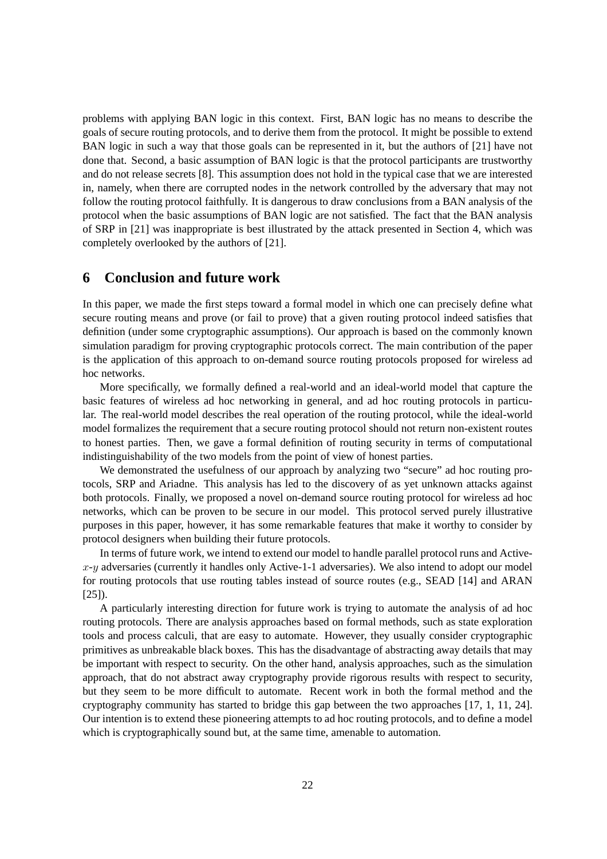problems with applying BAN logic in this context. First, BAN logic has no means to describe the goals of secure routing protocols, and to derive them from the protocol. It might be possible to extend BAN logic in such a way that those goals can be represented in it, but the authors of [21] have not done that. Second, a basic assumption of BAN logic is that the protocol participants are trustworthy and do not release secrets [8]. This assumption does not hold in the typical case that we are interested in, namely, when there are corrupted nodes in the network controlled by the adversary that may not follow the routing protocol faithfully. It is dangerous to draw conclusions from a BAN analysis of the protocol when the basic assumptions of BAN logic are not satisfied. The fact that the BAN analysis of SRP in [21] was inappropriate is best illustrated by the attack presented in Section 4, which was completely overlooked by the authors of [21].

### **6 Conclusion and future work**

In this paper, we made the first steps toward a formal model in which one can precisely define what secure routing means and prove (or fail to prove) that a given routing protocol indeed satisfies that definition (under some cryptographic assumptions). Our approach is based on the commonly known simulation paradigm for proving cryptographic protocols correct. The main contribution of the paper is the application of this approach to on-demand source routing protocols proposed for wireless ad hoc networks.

More specifically, we formally defined a real-world and an ideal-world model that capture the basic features of wireless ad hoc networking in general, and ad hoc routing protocols in particular. The real-world model describes the real operation of the routing protocol, while the ideal-world model formalizes the requirement that a secure routing protocol should not return non-existent routes to honest parties. Then, we gave a formal definition of routing security in terms of computational indistinguishability of the two models from the point of view of honest parties.

We demonstrated the usefulness of our approach by analyzing two "secure" ad hoc routing protocols, SRP and Ariadne. This analysis has led to the discovery of as yet unknown attacks against both protocols. Finally, we proposed a novel on-demand source routing protocol for wireless ad hoc networks, which can be proven to be secure in our model. This protocol served purely illustrative purposes in this paper, however, it has some remarkable features that make it worthy to consider by protocol designers when building their future protocols.

In terms of future work, we intend to extend our model to handle parallel protocol runs and Active $x-y$  adversaries (currently it handles only Active-1-1 adversaries). We also intend to adopt our model for routing protocols that use routing tables instead of source routes (e.g., SEAD [14] and ARAN [25]).

A particularly interesting direction for future work is trying to automate the analysis of ad hoc routing protocols. There are analysis approaches based on formal methods, such as state exploration tools and process calculi, that are easy to automate. However, they usually consider cryptographic primitives as unbreakable black boxes. This has the disadvantage of abstracting away details that may be important with respect to security. On the other hand, analysis approaches, such as the simulation approach, that do not abstract away cryptography provide rigorous results with respect to security, but they seem to be more difficult to automate. Recent work in both the formal method and the cryptography community has started to bridge this gap between the two approaches [17, 1, 11, 24]. Our intention is to extend these pioneering attempts to ad hoc routing protocols, and to define a model which is cryptographically sound but, at the same time, amenable to automation.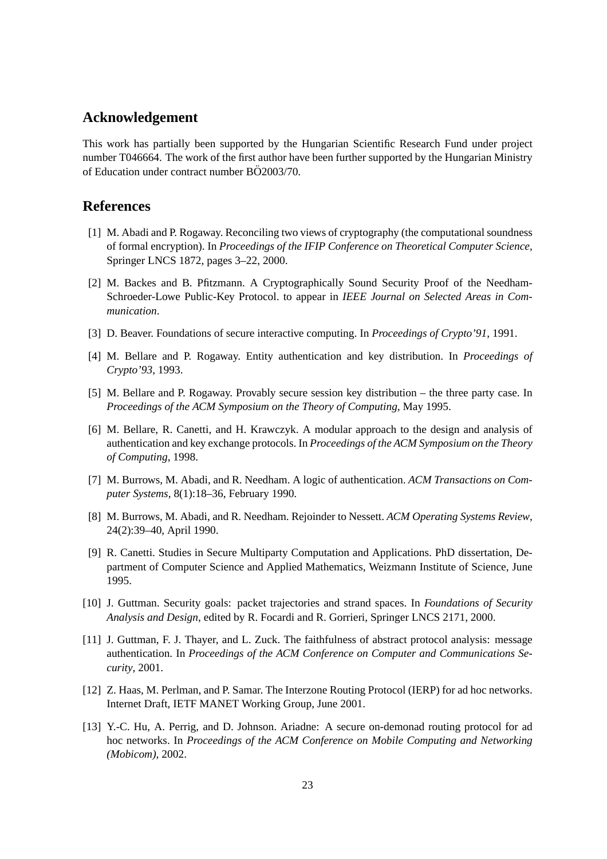### **Acknowledgement**

This work has partially been supported by the Hungarian Scientific Research Fund under project number T046664. The work of the first author have been further supported by the Hungarian Ministry of Education under contract number BÖ2003/70.

## **References**

- [1] M. Abadi and P. Rogaway. Reconciling two views of cryptography (the computational soundness of formal encryption). In *Proceedings of the IFIP Conference on Theoretical Computer Science*, Springer LNCS 1872, pages 3–22, 2000.
- [2] M. Backes and B. Pfitzmann. A Cryptographically Sound Security Proof of the Needham-Schroeder-Lowe Public-Key Protocol. to appear in *IEEE Journal on Selected Areas in Communication*.
- [3] D. Beaver. Foundations of secure interactive computing. In *Proceedings of Crypto'91*, 1991.
- [4] M. Bellare and P. Rogaway. Entity authentication and key distribution. In *Proceedings of Crypto'93*, 1993.
- [5] M. Bellare and P. Rogaway. Provably secure session key distribution the three party case. In *Proceedings of the ACM Symposium on the Theory of Computing*, May 1995.
- [6] M. Bellare, R. Canetti, and H. Krawczyk. A modular approach to the design and analysis of authentication and key exchange protocols. In *Proceedings of the ACM Symposium on the Theory of Computing*, 1998.
- [7] M. Burrows, M. Abadi, and R. Needham. A logic of authentication. *ACM Transactions on Computer Systems*, 8(1):18–36, February 1990.
- [8] M. Burrows, M. Abadi, and R. Needham. Rejoinder to Nessett. *ACM Operating Systems Review*, 24(2):39–40, April 1990.
- [9] R. Canetti. Studies in Secure Multiparty Computation and Applications. PhD dissertation, Department of Computer Science and Applied Mathematics, Weizmann Institute of Science, June 1995.
- [10] J. Guttman. Security goals: packet trajectories and strand spaces. In *Foundations of Security Analysis and Design*, edited by R. Focardi and R. Gorrieri, Springer LNCS 2171, 2000.
- [11] J. Guttman, F. J. Thayer, and L. Zuck. The faithfulness of abstract protocol analysis: message authentication. In *Proceedings of the ACM Conference on Computer and Communications Security*, 2001.
- [12] Z. Haas, M. Perlman, and P. Samar. The Interzone Routing Protocol (IERP) for ad hoc networks. Internet Draft, IETF MANET Working Group, June 2001.
- [13] Y.-C. Hu, A. Perrig, and D. Johnson. Ariadne: A secure on-demonad routing protocol for ad hoc networks. In *Proceedings of the ACM Conference on Mobile Computing and Networking (Mobicom)*, 2002.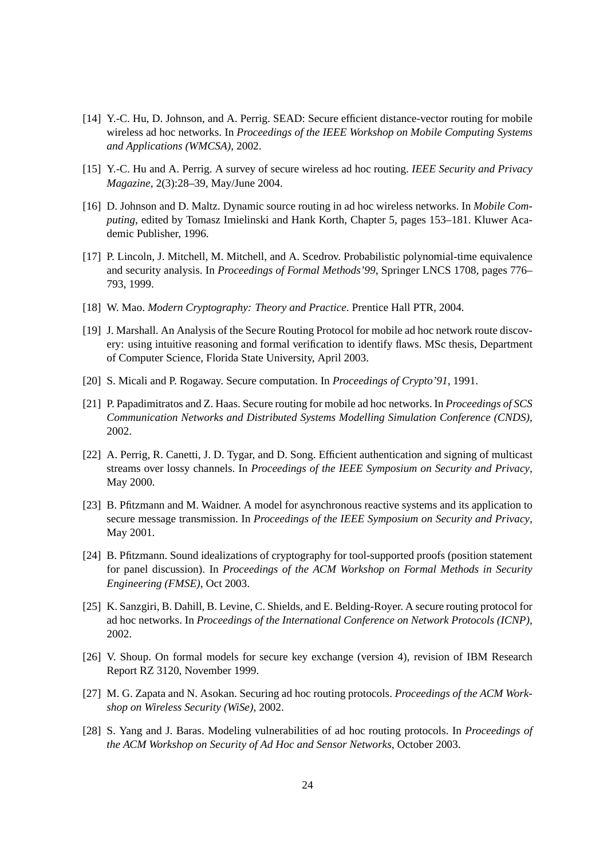- [14] Y.-C. Hu, D. Johnson, and A. Perrig. SEAD: Secure efficient distance-vector routing for mobile wireless ad hoc networks. In *Proceedings of the IEEE Workshop on Mobile Computing Systems and Applications (WMCSA)*, 2002.
- [15] Y.-C. Hu and A. Perrig. A survey of secure wireless ad hoc routing. *IEEE Security and Privacy Magazine*, 2(3):28–39, May/June 2004.
- [16] D. Johnson and D. Maltz. Dynamic source routing in ad hoc wireless networks. In *Mobile Computing*, edited by Tomasz Imielinski and Hank Korth, Chapter 5, pages 153–181. Kluwer Academic Publisher, 1996.
- [17] P. Lincoln, J. Mitchell, M. Mitchell, and A. Scedrov. Probabilistic polynomial-time equivalence and security analysis. In *Proceedings of Formal Methods'99*, Springer LNCS 1708, pages 776– 793, 1999.
- [18] W. Mao. *Modern Cryptography: Theory and Practice*. Prentice Hall PTR, 2004.
- [19] J. Marshall. An Analysis of the Secure Routing Protocol for mobile ad hoc network route discovery: using intuitive reasoning and formal verification to identify flaws. MSc thesis, Department of Computer Science, Florida State University, April 2003.
- [20] S. Micali and P. Rogaway. Secure computation. In *Proceedings of Crypto'91*, 1991.
- [21] P. Papadimitratos and Z. Haas. Secure routing for mobile ad hoc networks. In *Proceedings of SCS Communication Networks and Distributed Systems Modelling Simulation Conference (CNDS)*, 2002.
- [22] A. Perrig, R. Canetti, J. D. Tygar, and D. Song. Efficient authentication and signing of multicast streams over lossy channels. In *Proceedings of the IEEE Symposium on Security and Privacy*, May 2000.
- [23] B. Pfitzmann and M. Waidner. A model for asynchronous reactive systems and its application to secure message transmission. In *Proceedings of the IEEE Symposium on Security and Privacy*, May 2001.
- [24] B. Pfitzmann. Sound idealizations of cryptography for tool-supported proofs (position statement for panel discussion). In *Proceedings of the ACM Workshop on Formal Methods in Security Engineering (FMSE)*, Oct 2003.
- [25] K. Sanzgiri, B. Dahill, B. Levine, C. Shields, and E. Belding-Royer. A secure routing protocol for ad hoc networks. In *Proceedings of the International Conference on Network Protocols (ICNP)*, 2002.
- [26] V. Shoup. On formal models for secure key exchange (version 4), revision of IBM Research Report RZ 3120, November 1999.
- [27] M. G. Zapata and N. Asokan. Securing ad hoc routing protocols. *Proceedings of the ACM Workshop on Wireless Security (WiSe)*, 2002.
- [28] S. Yang and J. Baras. Modeling vulnerabilities of ad hoc routing protocols. In *Proceedings of the ACM Workshop on Security of Ad Hoc and Sensor Networks*, October 2003.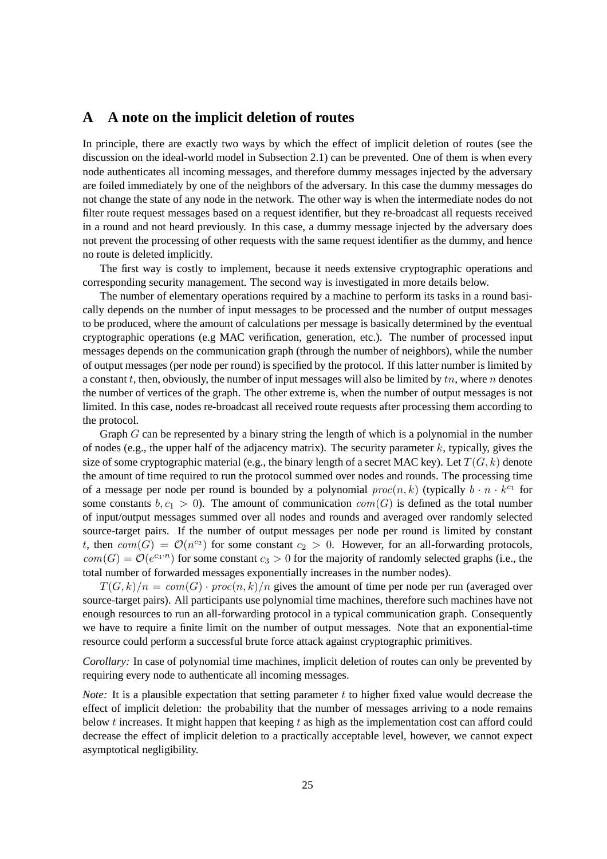### **A A note on the implicit deletion of routes**

In principle, there are exactly two ways by which the effect of implicit deletion of routes (see the discussion on the ideal-world model in Subsection 2.1) can be prevented. One of them is when every node authenticates all incoming messages, and therefore dummy messages injected by the adversary are foiled immediately by one of the neighbors of the adversary. In this case the dummy messages do not change the state of any node in the network. The other way is when the intermediate nodes do not filter route request messages based on a request identifier, but they re-broadcast all requests received in a round and not heard previously. In this case, a dummy message injected by the adversary does not prevent the processing of other requests with the same request identifier as the dummy, and hence no route is deleted implicitly.

The first way is costly to implement, because it needs extensive cryptographic operations and corresponding security management. The second way is investigated in more details below.

The number of elementary operations required by a machine to perform its tasks in a round basically depends on the number of input messages to be processed and the number of output messages to be produced, where the amount of calculations per message is basically determined by the eventual cryptographic operations (e.g MAC verification, generation, etc.). The number of processed input messages depends on the communication graph (through the number of neighbors), while the number of output messages (per node per round) is specified by the protocol. If this latter number is limited by a constant t, then, obviously, the number of input messages will also be limited by  $tn$ , where n denotes the number of vertices of the graph. The other extreme is, when the number of output messages is not limited. In this case, nodes re-broadcast all received route requests after processing them according to the protocol.

Graph  $G$  can be represented by a binary string the length of which is a polynomial in the number of nodes (e.g., the upper half of the adjacency matrix). The security parameter  $k$ , typically, gives the size of some cryptographic material (e.g., the binary length of a secret MAC key). Let  $T(G, k)$  denote the amount of time required to run the protocol summed over nodes and rounds. The processing time of a message per node per round is bounded by a polynomial  $proc(n, k)$  (typically  $b \cdot n \cdot k^{c_1}$  for some constants  $b, c_1 > 0$ . The amount of communication  $com(G)$  is defined as the total number of input/output messages summed over all nodes and rounds and averaged over randomly selected source-target pairs. If the number of output messages per node per round is limited by constant t, then  $com(G) = \mathcal{O}(n^{c_2})$  for some constant  $c_2 > 0$ . However, for an all-forwarding protocols,  $com(G) = \mathcal{O}(e^{c_3 \cdot n})$  for some constant  $c_3 > 0$  for the majority of randomly selected graphs (i.e., the total number of forwarded messages exponentially increases in the number nodes).

 $T(G, k)/n = com(G) \cdot proc(n, k)/n$  gives the amount of time per node per run (averaged over source-target pairs). All participants use polynomial time machines, therefore such machines have not enough resources to run an all-forwarding protocol in a typical communication graph. Consequently we have to require a finite limit on the number of output messages. Note that an exponential-time resource could perform a successful brute force attack against cryptographic primitives.

*Corollary:* In case of polynomial time machines, implicit deletion of routes can only be prevented by requiring every node to authenticate all incoming messages.

*Note:* It is a plausible expectation that setting parameter t to higher fixed value would decrease the effect of implicit deletion: the probability that the number of messages arriving to a node remains below  $t$  increases. It might happen that keeping  $t$  as high as the implementation cost can afford could decrease the effect of implicit deletion to a practically acceptable level, however, we cannot expect asymptotical negligibility.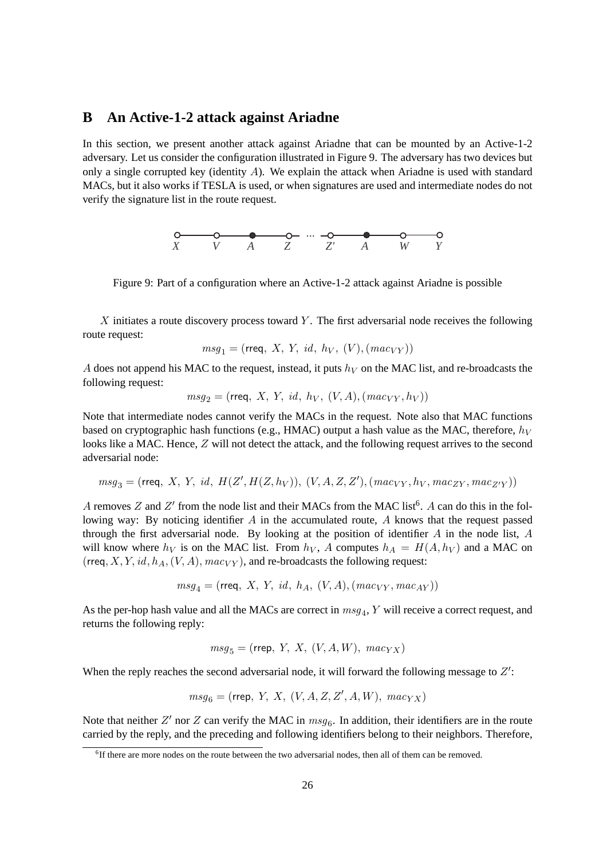### **B An Active-1-2 attack against Ariadne**

In this section, we present another attack against Ariadne that can be mounted by an Active-1-2 adversary. Let us consider the configuration illustrated in Figure 9. The adversary has two devices but only a single corrupted key (identity  $A$ ). We explain the attack when Ariadne is used with standard MACs, but it also works if TESLA is used, or when signatures are used and intermediate nodes do not verify the signature list in the route request.



Figure 9: Part of a configuration where an Active-1-2 attack against Ariadne is possible

X initiates a route discovery process toward Y. The first adversarial node receives the following route request:

 $msg_1 = (rreq, X, Y, id, hy, (V), (mac_{VV}))$ 

A does not append his MAC to the request, instead, it puts  $h<sub>V</sub>$  on the MAC list, and re-broadcasts the following request:

$$
msg_2 = (rreq, X, Y, id, h_V, (V, A), (mac_{VY}, h_V))
$$

Note that intermediate nodes cannot verify the MACs in the request. Note also that MAC functions based on cryptographic hash functions (e.g., HMAC) output a hash value as the MAC, therefore,  $h_V$ looks like a MAC. Hence, Z will not detect the attack, and the following request arrives to the second adversarial node:

$$
msg_3 = (rreq, X, Y, id, H(Z', H(Z, h_V)), (V, A, Z, Z'), (mac_{YY}, h_V, mac_{ZY}, mac_{ZY}))
$$

A removes Z and Z' from the node list and their MACs from the MAC list<sup>6</sup>. A can do this in the following way: By noticing identifier A in the accumulated route, A knows that the request passed through the first adversarial node. By looking at the position of identifier  $A$  in the node list,  $A$ will know where  $h_V$  is on the MAC list. From  $h_V$ , A computes  $h_A = H(A, h_V)$  and a MAC on (rreq,  $X, Y, id, h_A, (V, A), max_{VY}$ ), and re-broadcasts the following request:

 $msg_4 = (rreq, X, Y, id, h_A, (V, A), (mac_{YY}, mac_{AY}))$ 

As the per-hop hash value and all the MACs are correct in  $msg_4$ , Y will receive a correct request, and returns the following reply:

$$
msg_5 = (rrep, Y, X, (V, A, W), \; mac_{YX})
$$

When the reply reaches the second adversarial node, it will forward the following message to  $Z'$ :

$$
msg_6 = (rrep, Y, X, (V, A, Z, Z', A, W), \; mac_{YX})
$$

Note that neither  $Z'$  nor  $Z$  can verify the MAC in  $msg_6$ . In addition, their identifiers are in the route carried by the reply, and the preceding and following identifiers belong to their neighbors. Therefore,

<sup>6</sup> If there are more nodes on the route between the two adversarial nodes, then all of them can be removed.